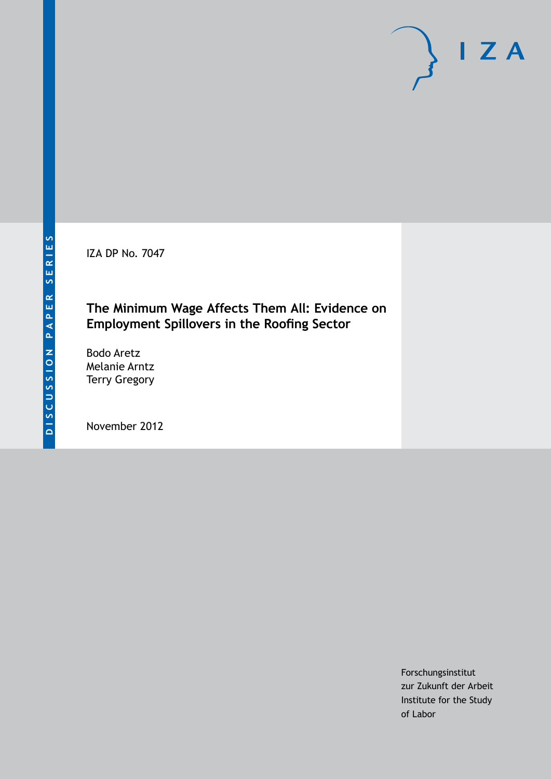IZA DP No. 7047

## **The Minimum Wage Affects Them All: Evidence on Employment Spillovers in the Roofing Sector**

Bodo Aretz Melanie Arntz Terry Gregory

November 2012

Forschungsinstitut zur Zukunft der Arbeit Institute for the Study of Labor

 $I Z A$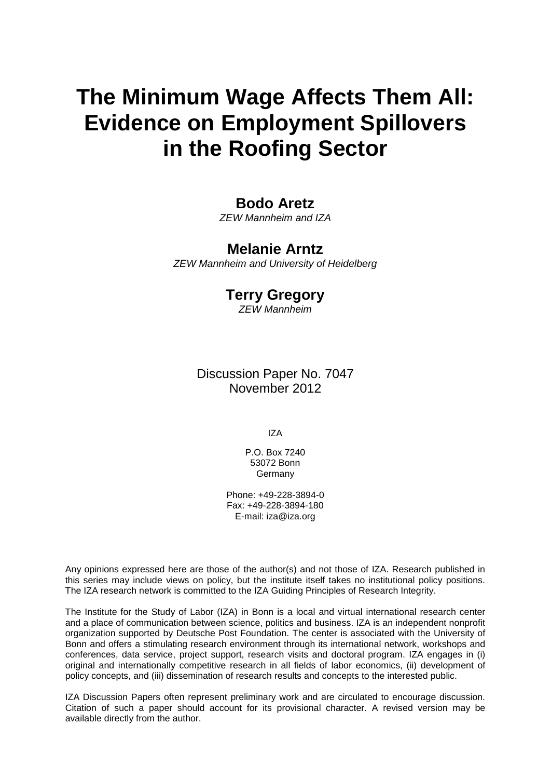# **The Minimum Wage Affects Them All: Evidence on Employment Spillovers in the Roofing Sector**

### **Bodo Aretz**

*ZEW Mannheim and IZA*

### **Melanie Arntz**

*ZEW Mannheim and University of Heidelberg*

### **Terry Gregory**

*ZEW Mannheim*

Discussion Paper No. 7047 November 2012

IZA

P.O. Box 7240 53072 Bonn **Germany** 

Phone: +49-228-3894-0 Fax: +49-228-3894-180 E-mail: [iza@iza.org](mailto:iza@iza.org)

Any opinions expressed here are those of the author(s) and not those of IZA. Research published in this series may include views on policy, but the institute itself takes no institutional policy positions. The IZA research network is committed to the IZA Guiding Principles of Research Integrity.

The Institute for the Study of Labor (IZA) in Bonn is a local and virtual international research center and a place of communication between science, politics and business. IZA is an independent nonprofit organization supported by Deutsche Post Foundation. The center is associated with the University of Bonn and offers a stimulating research environment through its international network, workshops and conferences, data service, project support, research visits and doctoral program. IZA engages in (i) original and internationally competitive research in all fields of labor economics, (ii) development of policy concepts, and (iii) dissemination of research results and concepts to the interested public.

<span id="page-1-0"></span>IZA Discussion Papers often represent preliminary work and are circulated to encourage discussion. Citation of such a paper should account for its provisional character. A revised version may be available directly from the author.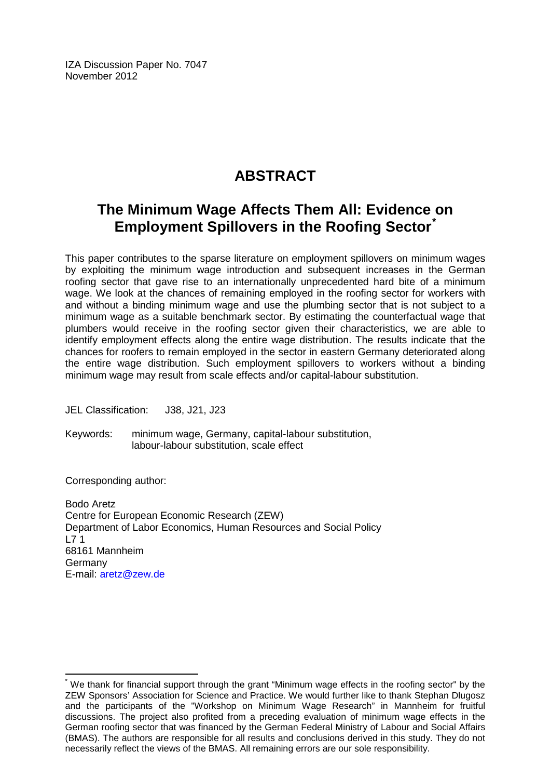IZA Discussion Paper No. 7047 November 2012

## **ABSTRACT**

## **The Minimum Wage Affects Them All: Evidence on Employment Spillovers in the Roofing Sector[\\*](#page-1-0)**

This paper contributes to the sparse literature on employment spillovers on minimum wages by exploiting the minimum wage introduction and subsequent increases in the German roofing sector that gave rise to an internationally unprecedented hard bite of a minimum wage. We look at the chances of remaining employed in the roofing sector for workers with and without a binding minimum wage and use the plumbing sector that is not subject to a minimum wage as a suitable benchmark sector. By estimating the counterfactual wage that plumbers would receive in the roofing sector given their characteristics, we are able to identify employment effects along the entire wage distribution. The results indicate that the chances for roofers to remain employed in the sector in eastern Germany deteriorated along the entire wage distribution. Such employment spillovers to workers without a binding minimum wage may result from scale effects and/or capital-labour substitution.

JEL Classification: J38, J21, J23

Keywords: minimum wage, Germany, capital-labour substitution, labour-labour substitution, scale effect

Corresponding author:

Bodo Aretz Centre for European Economic Research (ZEW) Department of Labor Economics, Human Resources and Social Policy  $171$ 68161 Mannheim Germany E-mail: [aretz@zew.de](mailto:aretz@zew.de)

We thank for financial support through the grant "Minimum wage effects in the roofing sector" by the ZEW Sponsors' Association for Science and Practice. We would further like to thank Stephan Dlugosz and the participants of the "Workshop on Minimum Wage Research" in Mannheim for fruitful discussions. The project also profited from a preceding evaluation of minimum wage effects in the German roofing sector that was financed by the German Federal Ministry of Labour and Social Affairs (BMAS). The authors are responsible for all results and conclusions derived in this study. They do not necessarily reflect the views of the BMAS. All remaining errors are our sole responsibility.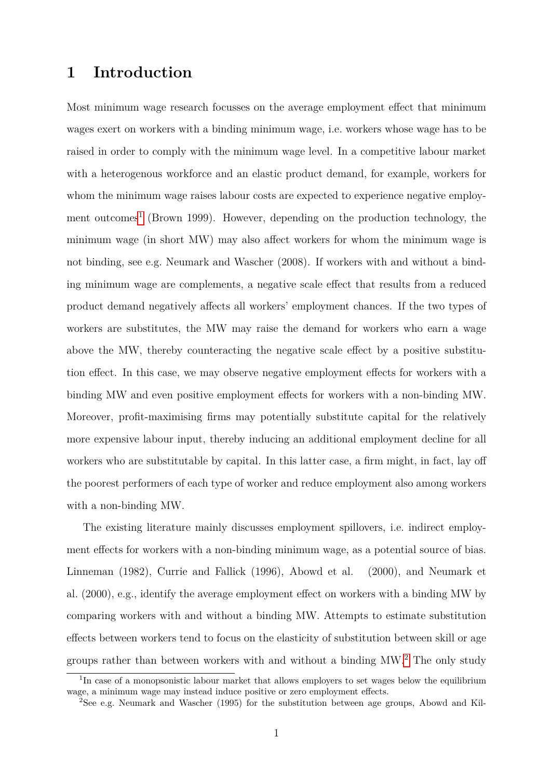## **1 Introduction**

Most minimum wage research focusses on the average employment effect that minimum wages exert on workers with a binding minimum wage, i.e. workers whose wage has to be raised in order to comply with the minimum wage level. In a competitive labour market with a heterogenous workforce and an elastic product demand, for example, workers for whom the minimum wage raises labour costs are expected to experience negative employ-ment outcomes<sup>[1](#page-3-0)</sup> (Brown 1999). However, depending on the production technology, the minimum wage (in short MW) may also affect workers for whom the minimum wage is not binding, see e.g. Neumark and Wascher (2008). If workers with and without a binding minimum wage are complements, a negative scale effect that results from a reduced product demand negatively affects all workers' employment chances. If the two types of workers are substitutes, the MW may raise the demand for workers who earn a wage above the MW, thereby counteracting the negative scale effect by a positive substitution effect. In this case, we may observe negative employment effects for workers with a binding MW and even positive employment effects for workers with a non-binding MW. Moreover, profit-maximising firms may potentially substitute capital for the relatively more expensive labour input, thereby inducing an additional employment decline for all workers who are substitutable by capital. In this latter case, a firm might, in fact, lay off the poorest performers of each type of worker and reduce employment also among workers with a non-binding MW.

The existing literature mainly discusses employment spillovers, i.e. indirect employment effects for workers with a non-binding minimum wage, as a potential source of bias. Linneman (1982), Currie and Fallick (1996), Abowd et al. (2000), and Neumark et al. (2000), e.g., identify the average employment effect on workers with a binding MW by comparing workers with and without a binding MW. Attempts to estimate substitution effects between workers tend to focus on the elasticity of substitution between skill or age groups rather than between workers with and without a binding MW.[2](#page-3-1) The only study

<span id="page-3-0"></span><sup>&</sup>lt;sup>1</sup>In case of a monopsonistic labour market that allows employers to set wages below the equilibrium wage, a minimum wage may instead induce positive or zero employment effects.

<span id="page-3-1"></span><sup>2</sup>See e.g. Neumark and Wascher (1995) for the substitution between age groups, Abowd and Kil-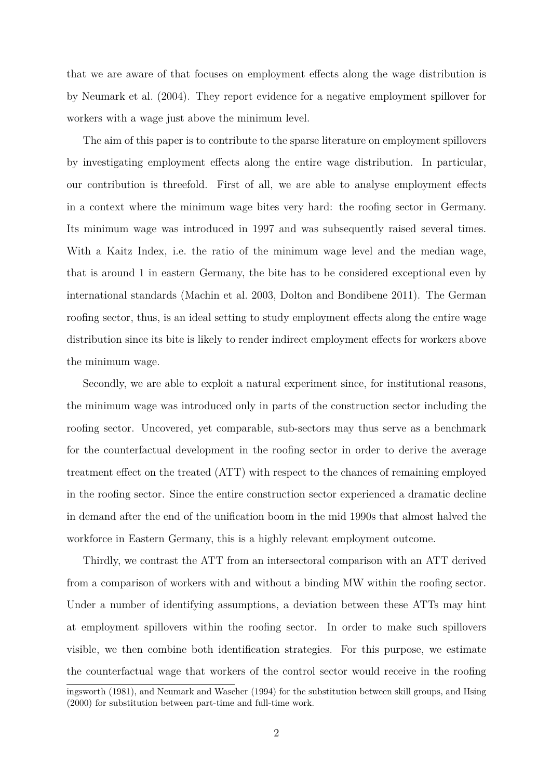that we are aware of that focuses on employment effects along the wage distribution is by Neumark et al. (2004). They report evidence for a negative employment spillover for workers with a wage just above the minimum level.

The aim of this paper is to contribute to the sparse literature on employment spillovers by investigating employment effects along the entire wage distribution. In particular, our contribution is threefold. First of all, we are able to analyse employment effects in a context where the minimum wage bites very hard: the roofing sector in Germany. Its minimum wage was introduced in 1997 and was subsequently raised several times. With a Kaitz Index, i.e. the ratio of the minimum wage level and the median wage, that is around 1 in eastern Germany, the bite has to be considered exceptional even by international standards (Machin et al. 2003, Dolton and Bondibene 2011). The German roofing sector, thus, is an ideal setting to study employment effects along the entire wage distribution since its bite is likely to render indirect employment effects for workers above the minimum wage.

Secondly, we are able to exploit a natural experiment since, for institutional reasons, the minimum wage was introduced only in parts of the construction sector including the roofing sector. Uncovered, yet comparable, sub-sectors may thus serve as a benchmark for the counterfactual development in the roofing sector in order to derive the average treatment effect on the treated (ATT) with respect to the chances of remaining employed in the roofing sector. Since the entire construction sector experienced a dramatic decline in demand after the end of the unification boom in the mid 1990s that almost halved the workforce in Eastern Germany, this is a highly relevant employment outcome.

Thirdly, we contrast the ATT from an intersectoral comparison with an ATT derived from a comparison of workers with and without a binding MW within the roofing sector. Under a number of identifying assumptions, a deviation between these ATTs may hint at employment spillovers within the roofing sector. In order to make such spillovers visible, we then combine both identification strategies. For this purpose, we estimate the counterfactual wage that workers of the control sector would receive in the roofing

ingsworth (1981), and Neumark and Wascher (1994) for the substitution between skill groups, and Hsing (2000) for substitution between part-time and full-time work.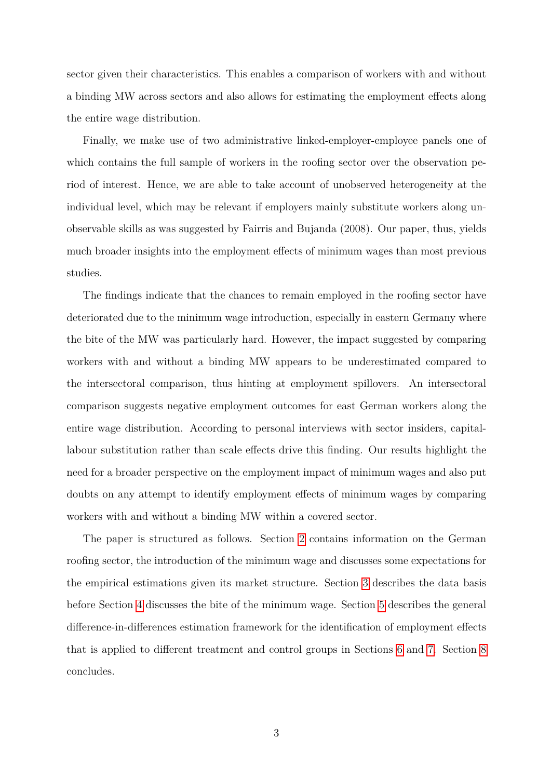sector given their characteristics. This enables a comparison of workers with and without a binding MW across sectors and also allows for estimating the employment effects along the entire wage distribution.

Finally, we make use of two administrative linked-employer-employee panels one of which contains the full sample of workers in the roofing sector over the observation period of interest. Hence, we are able to take account of unobserved heterogeneity at the individual level, which may be relevant if employers mainly substitute workers along unobservable skills as was suggested by Fairris and Bujanda (2008). Our paper, thus, yields much broader insights into the employment effects of minimum wages than most previous studies.

The findings indicate that the chances to remain employed in the roofing sector have deteriorated due to the minimum wage introduction, especially in eastern Germany where the bite of the MW was particularly hard. However, the impact suggested by comparing workers with and without a binding MW appears to be underestimated compared to the intersectoral comparison, thus hinting at employment spillovers. An intersectoral comparison suggests negative employment outcomes for east German workers along the entire wage distribution. According to personal interviews with sector insiders, capitallabour substitution rather than scale effects drive this finding. Our results highlight the need for a broader perspective on the employment impact of minimum wages and also put doubts on any attempt to identify employment effects of minimum wages by comparing workers with and without a binding MW within a covered sector.

The paper is structured as follows. Section [2](#page-6-0) contains information on the German roofing sector, the introduction of the minimum wage and discusses some expectations for the empirical estimations given its market structure. Section [3](#page-10-0) describes the data basis before Section [4](#page-12-0) discusses the bite of the minimum wage. Section [5](#page-17-0) describes the general difference-in-differences estimation framework for the identification of employment effects that is applied to different treatment and control groups in Sections [6](#page-19-0) and [7.](#page-30-0) Section [8](#page-36-0) concludes.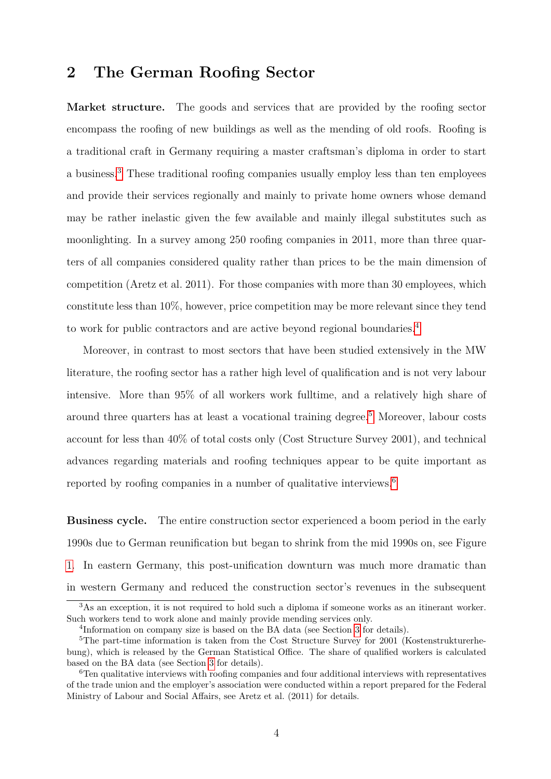## <span id="page-6-0"></span>**2 The German Roofing Sector**

**Market structure.** The goods and services that are provided by the roofing sector encompass the roofing of new buildings as well as the mending of old roofs. Roofing is a traditional craft in Germany requiring a master craftsman's diploma in order to start a business.[3](#page-6-1) These traditional roofing companies usually employ less than ten employees and provide their services regionally and mainly to private home owners whose demand may be rather inelastic given the few available and mainly illegal substitutes such as moonlighting. In a survey among 250 roofing companies in 2011, more than three quarters of all companies considered quality rather than prices to be the main dimension of competition (Aretz et al. 2011). For those companies with more than 30 employees, which constitute less than 10%, however, price competition may be more relevant since they tend to work for public contractors and are active beyond regional boundaries.[4](#page-6-2)

Moreover, in contrast to most sectors that have been studied extensively in the MW literature, the roofing sector has a rather high level of qualification and is not very labour intensive. More than 95% of all workers work fulltime, and a relatively high share of around three quarters has at least a vocational training degree.[5](#page-6-3) Moreover, labour costs account for less than 40% of total costs only (Cost Structure Survey 2001), and technical advances regarding materials and roofing techniques appear to be quite important as reported by roofing companies in a number of qualitative interviews.<sup>[6](#page-6-4)</sup>

**Business cycle.** The entire construction sector experienced a boom period in the early 1990s due to German reunification but began to shrink from the mid 1990s on, see Figure [1.](#page-7-0) In eastern Germany, this post-unification downturn was much more dramatic than in western Germany and reduced the construction sector's revenues in the subsequent

<span id="page-6-1"></span> $3\text{As}$  an exception, it is not required to hold such a diploma if someone works as an itinerant worker. Such workers tend to work alone and mainly provide mending services only.

<span id="page-6-3"></span><span id="page-6-2"></span><sup>4</sup> Information on company size is based on the BA data (see Section [3](#page-10-0) for details).

<sup>&</sup>lt;sup>5</sup>The part-time information is taken from the Cost Structure Survey for 2001 (Kostenstrukturerhebung), which is released by the German Statistical Office. The share of qualified workers is calculated based on the BA data (see Section [3](#page-10-0) for details).

<span id="page-6-4"></span> $6$ Ten qualitative interviews with roofing companies and four additional interviews with representatives of the trade union and the employer's association were conducted within a report prepared for the Federal Ministry of Labour and Social Affairs, see Aretz et al. (2011) for details.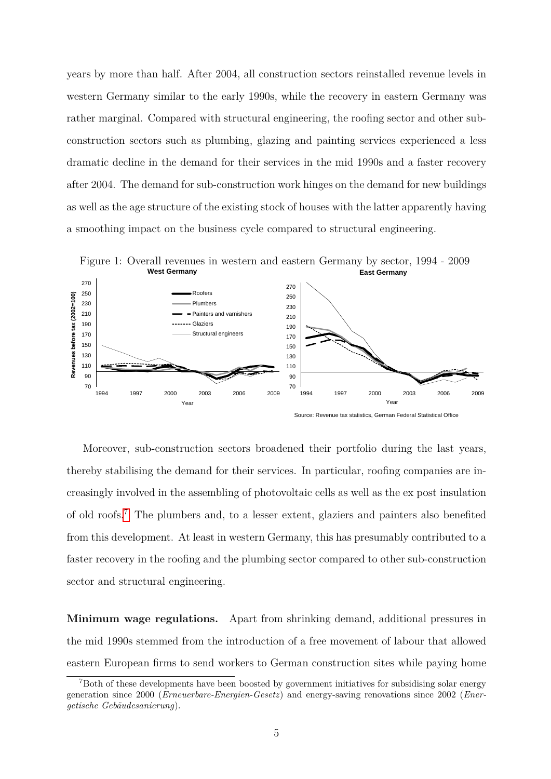years by more than half. After 2004, all construction sectors reinstalled revenue levels in western Germany similar to the early 1990s, while the recovery in eastern Germany was rather marginal. Compared with structural engineering, the roofing sector and other subconstruction sectors such as plumbing, glazing and painting services experienced a less dramatic decline in the demand for their services in the mid 1990s and a faster recovery after 2004. The demand for sub-construction work hinges on the demand for new buildings as well as the age structure of the existing stock of houses with the latter apparently having a smoothing impact on the business cycle compared to structural engineering.

<span id="page-7-0"></span>

Moreover, sub-construction sectors broadened their portfolio during the last years, thereby stabilising the demand for their services. In particular, roofing companies are increasingly involved in the assembling of photovoltaic cells as well as the ex post insulation of old roofs.[7](#page-7-1) The plumbers and, to a lesser extent, glaziers and painters also benefited from this development. At least in western Germany, this has presumably contributed to a faster recovery in the roofing and the plumbing sector compared to other sub-construction sector and structural engineering.

**Minimum wage regulations.** Apart from shrinking demand, additional pressures in the mid 1990s stemmed from the introduction of a free movement of labour that allowed eastern European firms to send workers to German construction sites while paying home

<span id="page-7-1"></span><sup>7</sup>Both of these developments have been boosted by government initiatives for subsidising solar energy generation since 2000 (*Erneuerbare-Energien-Gesetz*) and energy-saving renovations since 2002 (*Energetische Gebäudesanierung*).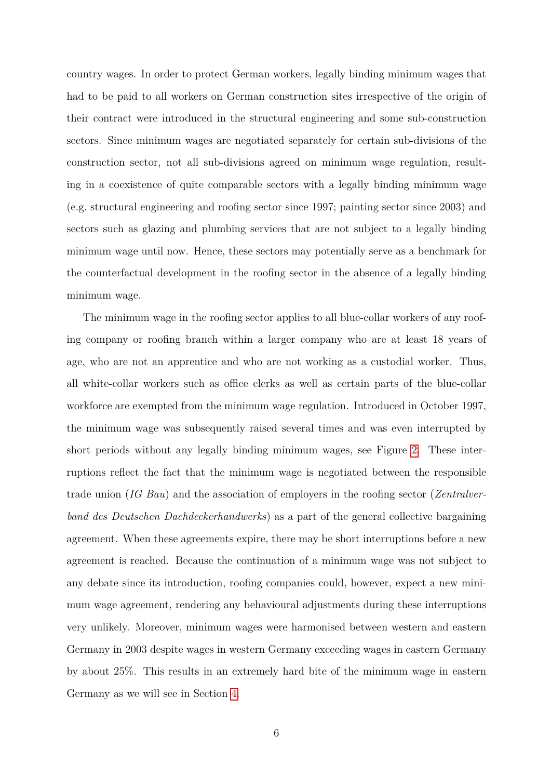country wages. In order to protect German workers, legally binding minimum wages that had to be paid to all workers on German construction sites irrespective of the origin of their contract were introduced in the structural engineering and some sub-construction sectors. Since minimum wages are negotiated separately for certain sub-divisions of the construction sector, not all sub-divisions agreed on minimum wage regulation, resulting in a coexistence of quite comparable sectors with a legally binding minimum wage (e.g. structural engineering and roofing sector since 1997; painting sector since 2003) and sectors such as glazing and plumbing services that are not subject to a legally binding minimum wage until now. Hence, these sectors may potentially serve as a benchmark for the counterfactual development in the roofing sector in the absence of a legally binding minimum wage.

The minimum wage in the roofing sector applies to all blue-collar workers of any roofing company or roofing branch within a larger company who are at least 18 years of age, who are not an apprentice and who are not working as a custodial worker. Thus, all white-collar workers such as office clerks as well as certain parts of the blue-collar workforce are exempted from the minimum wage regulation. Introduced in October 1997, the minimum wage was subsequently raised several times and was even interrupted by short periods without any legally binding minimum wages, see Figure [2.](#page-9-0) These interruptions reflect the fact that the minimum wage is negotiated between the responsible trade union (*IG Bau*) and the association of employers in the roofing sector (*Zentralverband des Deutschen Dachdeckerhandwerks*) as a part of the general collective bargaining agreement. When these agreements expire, there may be short interruptions before a new agreement is reached. Because the continuation of a minimum wage was not subject to any debate since its introduction, roofing companies could, however, expect a new minimum wage agreement, rendering any behavioural adjustments during these interruptions very unlikely. Moreover, minimum wages were harmonised between western and eastern Germany in 2003 despite wages in western Germany exceeding wages in eastern Germany by about 25%. This results in an extremely hard bite of the minimum wage in eastern Germany as we will see in Section [4.](#page-12-0)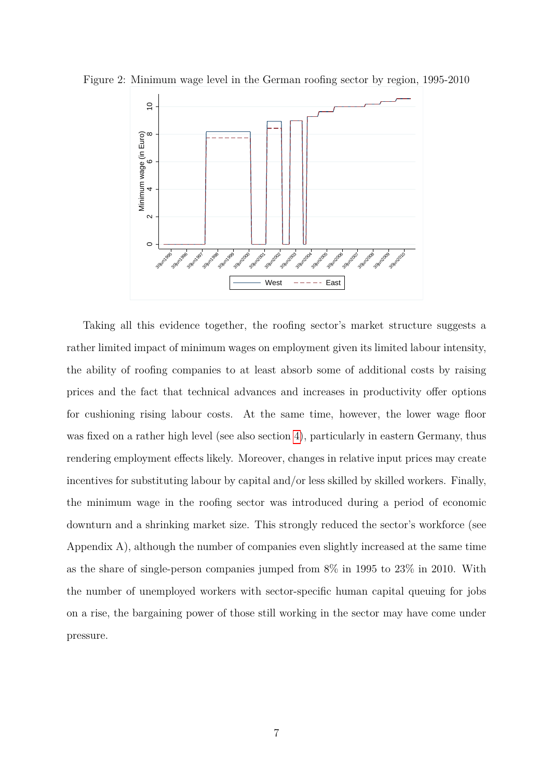

<span id="page-9-0"></span>

Taking all this evidence together, the roofing sector's market structure suggests a rather limited impact of minimum wages on employment given its limited labour intensity, the ability of roofing companies to at least absorb some of additional costs by raising prices and the fact that technical advances and increases in productivity offer options for cushioning rising labour costs. At the same time, however, the lower wage floor was fixed on a rather high level (see also section [4\)](#page-12-0), particularly in eastern Germany, thus rendering employment effects likely. Moreover, changes in relative input prices may create incentives for substituting labour by capital and/or less skilled by skilled workers. Finally, the minimum wage in the roofing sector was introduced during a period of economic downturn and a shrinking market size. This strongly reduced the sector's workforce (see Appendix A), although the number of companies even slightly increased at the same time as the share of single-person companies jumped from 8% in 1995 to 23% in 2010. With the number of unemployed workers with sector-specific human capital queuing for jobs on a rise, the bargaining power of those still working in the sector may have come under pressure.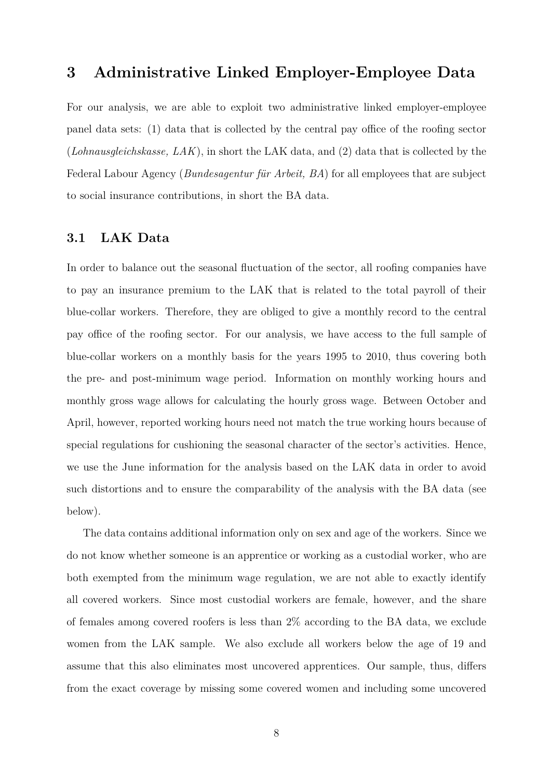## <span id="page-10-0"></span>**3 Administrative Linked Employer-Employee Data**

For our analysis, we are able to exploit two administrative linked employer-employee panel data sets: (1) data that is collected by the central pay office of the roofing sector (*Lohnausgleichskasse, LAK*), in short the LAK data, and (2) data that is collected by the Federal Labour Agency (*Bundesagentur für Arbeit, BA*) for all employees that are subject to social insurance contributions, in short the BA data.

#### **3.1 LAK Data**

In order to balance out the seasonal fluctuation of the sector, all roofing companies have to pay an insurance premium to the LAK that is related to the total payroll of their blue-collar workers. Therefore, they are obliged to give a monthly record to the central pay office of the roofing sector. For our analysis, we have access to the full sample of blue-collar workers on a monthly basis for the years 1995 to 2010, thus covering both the pre- and post-minimum wage period. Information on monthly working hours and monthly gross wage allows for calculating the hourly gross wage. Between October and April, however, reported working hours need not match the true working hours because of special regulations for cushioning the seasonal character of the sector's activities. Hence, we use the June information for the analysis based on the LAK data in order to avoid such distortions and to ensure the comparability of the analysis with the BA data (see below).

The data contains additional information only on sex and age of the workers. Since we do not know whether someone is an apprentice or working as a custodial worker, who are both exempted from the minimum wage regulation, we are not able to exactly identify all covered workers. Since most custodial workers are female, however, and the share of females among covered roofers is less than 2% according to the BA data, we exclude women from the LAK sample. We also exclude all workers below the age of 19 and assume that this also eliminates most uncovered apprentices. Our sample, thus, differs from the exact coverage by missing some covered women and including some uncovered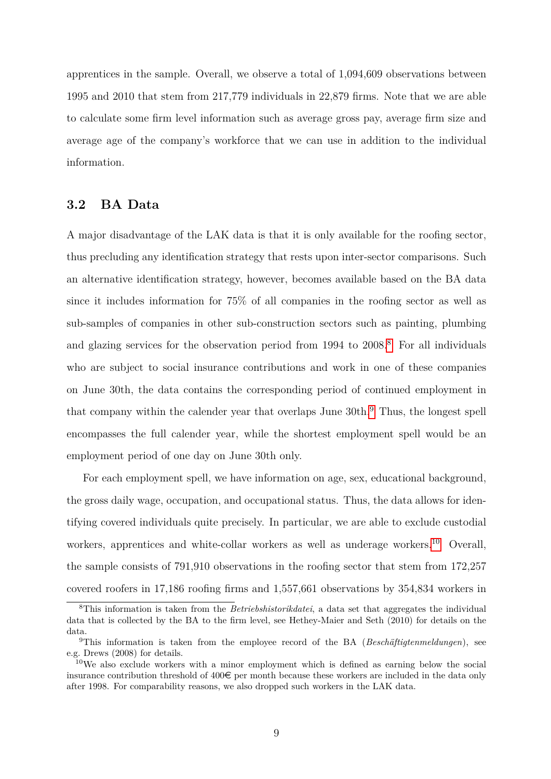apprentices in the sample. Overall, we observe a total of 1,094,609 observations between 1995 and 2010 that stem from 217,779 individuals in 22,879 firms. Note that we are able to calculate some firm level information such as average gross pay, average firm size and average age of the company's workforce that we can use in addition to the individual information.

#### **3.2 BA Data**

A major disadvantage of the LAK data is that it is only available for the roofing sector, thus precluding any identification strategy that rests upon inter-sector comparisons. Such an alternative identification strategy, however, becomes available based on the BA data since it includes information for 75% of all companies in the roofing sector as well as sub-samples of companies in other sub-construction sectors such as painting, plumbing and glazing services for the observation period from  $1994$  to  $2008$  $2008$ .<sup>8</sup> For all individuals who are subject to social insurance contributions and work in one of these companies on June 30th, the data contains the corresponding period of continued employment in that company within the calender year that overlaps June 30th.<sup>[9](#page-11-1)</sup> Thus, the longest spell encompasses the full calender year, while the shortest employment spell would be an employment period of one day on June 30th only.

For each employment spell, we have information on age, sex, educational background, the gross daily wage, occupation, and occupational status. Thus, the data allows for identifying covered individuals quite precisely. In particular, we are able to exclude custodial workers, apprentices and white-collar workers as well as underage workers.<sup>[10](#page-11-2)</sup> Overall, the sample consists of 791,910 observations in the roofing sector that stem from 172,257 covered roofers in 17,186 roofing firms and 1,557,661 observations by 354,834 workers in

<span id="page-11-0"></span><sup>8</sup>This information is taken from the *Betriebshistorikdatei*, a data set that aggregates the individual data that is collected by the BA to the firm level, see Hethey-Maier and Seth (2010) for details on the data.

<span id="page-11-1"></span><sup>9</sup>This information is taken from the employee record of the BA (*Beschäftigtenmeldungen*), see e.g. Drews (2008) for details.

<span id="page-11-2"></span><sup>&</sup>lt;sup>10</sup>We also exclude workers with a minor employment which is defined as earning below the social insurance contribution threshold of  $400\epsilon$  per month because these workers are included in the data only after 1998. For comparability reasons, we also dropped such workers in the LAK data.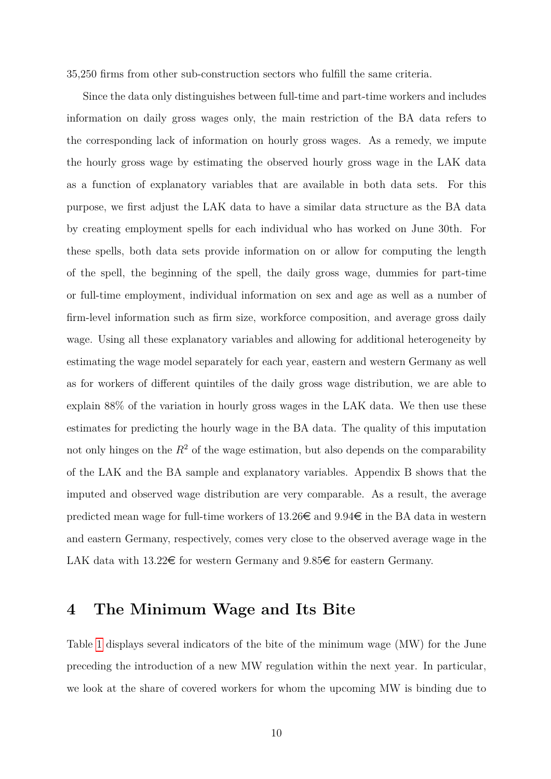35,250 firms from other sub-construction sectors who fulfill the same criteria.

Since the data only distinguishes between full-time and part-time workers and includes information on daily gross wages only, the main restriction of the BA data refers to the corresponding lack of information on hourly gross wages. As a remedy, we impute the hourly gross wage by estimating the observed hourly gross wage in the LAK data as a function of explanatory variables that are available in both data sets. For this purpose, we first adjust the LAK data to have a similar data structure as the BA data by creating employment spells for each individual who has worked on June 30th. For these spells, both data sets provide information on or allow for computing the length of the spell, the beginning of the spell, the daily gross wage, dummies for part-time or full-time employment, individual information on sex and age as well as a number of firm-level information such as firm size, workforce composition, and average gross daily wage. Using all these explanatory variables and allowing for additional heterogeneity by estimating the wage model separately for each year, eastern and western Germany as well as for workers of different quintiles of the daily gross wage distribution, we are able to explain 88% of the variation in hourly gross wages in the LAK data. We then use these estimates for predicting the hourly wage in the BA data. The quality of this imputation not only hinges on the  $R^2$  of the wage estimation, but also depends on the comparability of the LAK and the BA sample and explanatory variables. Appendix B shows that the imputed and observed wage distribution are very comparable. As a result, the average predicted mean wage for full-time workers of  $13.26 \in \text{and } 9.94 \in \text{in}$  the BA data in western and eastern Germany, respectively, comes very close to the observed average wage in the LAK data with  $13.22 \in$  for western Germany and  $9.85 \in$  for eastern Germany.

## <span id="page-12-0"></span>**4 The Minimum Wage and Its Bite**

Table [1](#page-14-0) displays several indicators of the bite of the minimum wage (MW) for the June preceding the introduction of a new MW regulation within the next year. In particular, we look at the share of covered workers for whom the upcoming MW is binding due to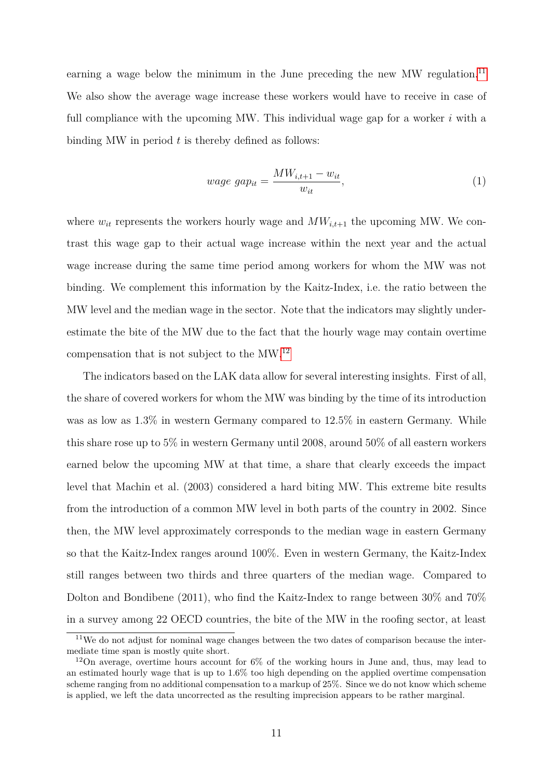earning a wage below the minimum in the June preceding the new MW regulation.<sup>[11](#page-13-0)</sup> We also show the average wage increase these workers would have to receive in case of full compliance with the upcoming MW. This individual wage gap for a worker *i* with a binding MW in period *t* is thereby defined as follows:

<span id="page-13-2"></span>
$$
wage\ gap_{it} = \frac{MW_{i,t+1} - w_{it}}{w_{it}},\tag{1}
$$

where  $w_{it}$  represents the workers hourly wage and  $MW_{it+1}$  the upcoming MW. We contrast this wage gap to their actual wage increase within the next year and the actual wage increase during the same time period among workers for whom the MW was not binding. We complement this information by the Kaitz-Index, i.e. the ratio between the MW level and the median wage in the sector. Note that the indicators may slightly underestimate the bite of the MW due to the fact that the hourly wage may contain overtime compensation that is not subject to the MW.[12](#page-13-1)

The indicators based on the LAK data allow for several interesting insights. First of all, the share of covered workers for whom the MW was binding by the time of its introduction was as low as 1.3% in western Germany compared to 12.5% in eastern Germany. While this share rose up to 5% in western Germany until 2008, around 50% of all eastern workers earned below the upcoming MW at that time, a share that clearly exceeds the impact level that Machin et al. (2003) considered a hard biting MW. This extreme bite results from the introduction of a common MW level in both parts of the country in 2002. Since then, the MW level approximately corresponds to the median wage in eastern Germany so that the Kaitz-Index ranges around 100%. Even in western Germany, the Kaitz-Index still ranges between two thirds and three quarters of the median wage. Compared to Dolton and Bondibene (2011), who find the Kaitz-Index to range between 30% and 70% in a survey among 22 OECD countries, the bite of the MW in the roofing sector, at least

<span id="page-13-0"></span><sup>&</sup>lt;sup>11</sup>We do not adjust for nominal wage changes between the two dates of comparison because the intermediate time span is mostly quite short.

<span id="page-13-1"></span><sup>&</sup>lt;sup>12</sup>On average, overtime hours account for  $6\%$  of the working hours in June and, thus, may lead to an estimated hourly wage that is up to 1.6% too high depending on the applied overtime compensation scheme ranging from no additional compensation to a markup of 25%. Since we do not know which scheme is applied, we left the data uncorrected as the resulting imprecision appears to be rather marginal.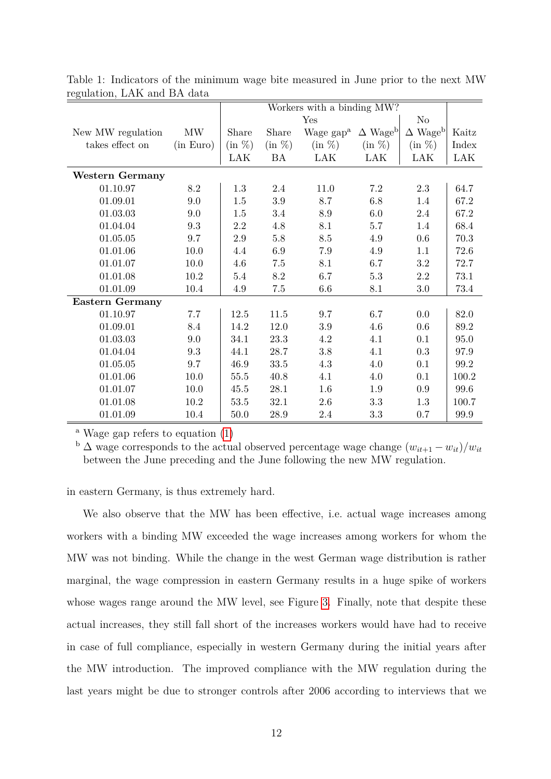| $\sim$ o $\sim$        |           | Workers with a binding MW? |           |                                                  |           |                            |       |  |
|------------------------|-----------|----------------------------|-----------|--------------------------------------------------|-----------|----------------------------|-------|--|
|                        |           |                            |           | Yes                                              |           | N <sub>o</sub>             |       |  |
| New MW regulation      | MW        | Share                      | Share     | Wage gap <sup>a</sup> $\Delta$ Wage <sup>b</sup> |           | $\Delta$ Wage <sup>b</sup> | Kaitz |  |
| takes effect on        | (in Euro) | $(in \%)$                  | $(in \%)$ | $(in \%)$                                        | $(in \%)$ | (in %)                     | Index |  |
|                        |           | LAK                        | BA        | LAK                                              | LAK       | LAK                        | LAK   |  |
| <b>Western Germany</b> |           |                            |           |                                                  |           |                            |       |  |
| 01.10.97               | $8.2\,$   | 1.3                        | 2.4       | 11.0                                             | 7.2       | 2.3                        | 64.7  |  |
| 01.09.01               | 9.0       | 1.5                        | $3.9\,$   | 8.7                                              | $6.8\,$   | 1.4                        | 67.2  |  |
| 01.03.03               | $9.0\,$   | 1.5                        | $3.4\,$   | $8.9\,$                                          | $6.0\,$   | $2.4\,$                    | 67.2  |  |
| 01.04.04               | 9.3       | $2.2\,$                    | 4.8       | 8.1                                              | 5.7       | 1.4                        | 68.4  |  |
| 01.05.05               | 9.7       | $2.9\,$                    | $5.8\,$   | 8.5                                              | 4.9       | 0.6                        | 70.3  |  |
| 01.01.06               | 10.0      | 4.4                        | 6.9       | 7.9                                              | 4.9       | 1.1                        | 72.6  |  |
| 01.01.07               | 10.0      | 4.6                        | $7.5\,$   | 8.1                                              | 6.7       | 3.2                        | 72.7  |  |
| 01.01.08               | 10.2      | 5.4                        | $8.2\,$   | 6.7                                              | $5.3\,$   | $2.2\,$                    | 73.1  |  |
| 01.01.09               | 10.4      | 4.9                        | 7.5       | $6.6\,$                                          | 8.1       | $3.0\,$                    | 73.4  |  |
| <b>Eastern Germany</b> |           |                            |           |                                                  |           |                            |       |  |
| 01.10.97               | 7.7       | $12.5\,$                   | $11.5\,$  | 9.7                                              | 6.7       | $0.0\,$                    | 82.0  |  |
| 01.09.01               | 8.4       | 14.2                       | 12.0      | $3.9\,$                                          | 4.6       | 0.6                        | 89.2  |  |
| 01.03.03               | 9.0       | 34.1                       | 23.3      | 4.2                                              | 4.1       | 0.1                        | 95.0  |  |
| 01.04.04               | 9.3       | 44.1                       | 28.7      | $3.8\,$                                          | 4.1       | 0.3                        | 97.9  |  |
| 01.05.05               | 9.7       | 46.9                       | 33.5      | 4.3                                              | 4.0       | 0.1                        | 99.2  |  |
| 01.01.06               | 10.0      | 55.5                       | 40.8      | 4.1                                              | 4.0       | 0.1                        | 100.2 |  |
| 01.01.07               | 10.0      | 45.5                       | 28.1      | 1.6                                              | 1.9       | $0.9\,$                    | 99.6  |  |
| 01.01.08               | $10.2\,$  | $53.5\,$                   | $32.1\,$  | $2.6\,$                                          | $3.3\,$   | $1.3\,$                    | 100.7 |  |
| 01.01.09               | 10.4      | 50.0                       | 28.9      | $2.4\,$                                          | 3.3       | 0.7                        | 99.9  |  |

<span id="page-14-0"></span>Table 1: Indicators of the minimum wage bite measured in June prior to the next MW regulation, LAK and BA data

<sup>a</sup> Wage gap refers to equation  $(1)$ 

 $\sum_{i=1}^{N} \sum_{i=1}^{N} \sum_{j=1}^{N} \sum_{j=1}^{N} \sum_{j=1}^{N} \sum_{j=1}^{N} \sum_{j=1}^{N} \sum_{j=1}^{N} \sum_{j=1}^{N} \sum_{j=1}^{N} \sum_{j=1}^{N} \sum_{j=1}^{N} \sum_{j=1}^{N} \sum_{j=1}^{N} \sum_{j=1}^{N} \sum_{j=1}^{N} \sum_{j=1}^{N} \sum_{j=1}^{N} \sum_{j=1}^{N} \sum_{j=1}^{N} \sum_{j=1}^{N} \sum_{j=1}^{N}$ between the June preceding and the June following the new MW regulation.

in eastern Germany, is thus extremely hard.

We also observe that the MW has been effective, i.e. actual wage increases among workers with a binding MW exceeded the wage increases among workers for whom the MW was not binding. While the change in the west German wage distribution is rather marginal, the wage compression in eastern Germany results in a huge spike of workers whose wages range around the MW level, see Figure [3.](#page-15-0) Finally, note that despite these actual increases, they still fall short of the increases workers would have had to receive in case of full compliance, especially in western Germany during the initial years after the MW introduction. The improved compliance with the MW regulation during the last years might be due to stronger controls after 2006 according to interviews that we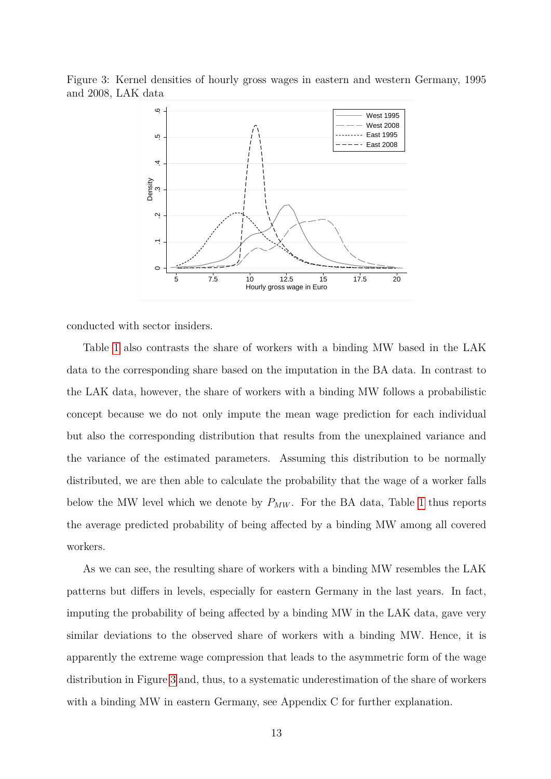

<span id="page-15-0"></span>

conducted with sector insiders.

Table [1](#page-14-0) also contrasts the share of workers with a binding MW based in the LAK data to the corresponding share based on the imputation in the BA data. In contrast to the LAK data, however, the share of workers with a binding MW follows a probabilistic concept because we do not only impute the mean wage prediction for each individual but also the corresponding distribution that results from the unexplained variance and the variance of the estimated parameters. Assuming this distribution to be normally distributed, we are then able to calculate the probability that the wage of a worker falls below the MW level which we denote by *PMW* . For the BA data, Table [1](#page-14-0) thus reports the average predicted probability of being affected by a binding MW among all covered workers.

As we can see, the resulting share of workers with a binding MW resembles the LAK patterns but differs in levels, especially for eastern Germany in the last years. In fact, imputing the probability of being affected by a binding MW in the LAK data, gave very similar deviations to the observed share of workers with a binding MW. Hence, it is apparently the extreme wage compression that leads to the asymmetric form of the wage distribution in Figure [3](#page-15-0) and, thus, to a systematic underestimation of the share of workers with a binding MW in eastern Germany, see Appendix C for further explanation.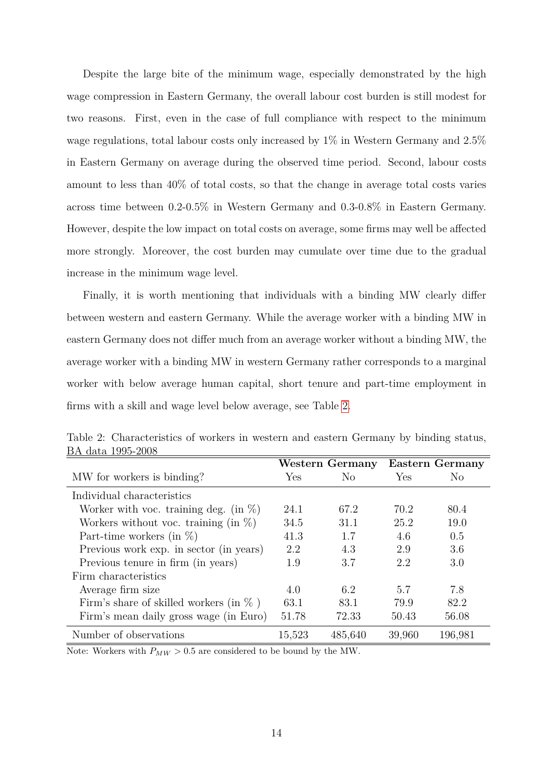Despite the large bite of the minimum wage, especially demonstrated by the high wage compression in Eastern Germany, the overall labour cost burden is still modest for two reasons. First, even in the case of full compliance with respect to the minimum wage regulations, total labour costs only increased by 1% in Western Germany and 2.5% in Eastern Germany on average during the observed time period. Second, labour costs amount to less than 40% of total costs, so that the change in average total costs varies across time between 0.2-0.5% in Western Germany and 0.3-0.8% in Eastern Germany. However, despite the low impact on total costs on average, some firms may well be affected more strongly. Moreover, the cost burden may cumulate over time due to the gradual increase in the minimum wage level.

Finally, it is worth mentioning that individuals with a binding MW clearly differ between western and eastern Germany. While the average worker with a binding MW in eastern Germany does not differ much from an average worker without a binding MW, the average worker with a binding MW in western Germany rather corresponds to a marginal worker with below average human capital, short tenure and part-time employment in firms with a skill and wage level below average, see Table [2.](#page-16-0)

| DIT AQUA TOOO AQOO                         | Western Germany |                |        | <b>Eastern Germany</b> |
|--------------------------------------------|-----------------|----------------|--------|------------------------|
| MW for workers is binding?                 | Yes             | N <sub>o</sub> | Yes    | N <sub>0</sub>         |
| Individual characteristics                 |                 |                |        |                        |
| Worker with voc. training deg. (in $\%$ )  | 24.1            | 67.2           | 70.2   | 80.4                   |
| Workers without voc. training (in $\%$ )   | 34.5            | 31.1           | 25.2   | 19.0                   |
| Part-time workers (in $\%$ )               | 41.3            | 1.7            | 4.6    | 0.5                    |
| Previous work exp. in sector (in years)    | 2.2             | 4.3            | 2.9    | 3.6                    |
| Previous tenure in firm (in years)         | 1.9             | 3.7            | 2.2    | 3.0                    |
| Firm characteristics                       |                 |                |        |                        |
| Average firm size                          | 4.0             | 6.2            | 5.7    | 7.8                    |
| Firm's share of skilled workers (in $\%$ ) | 63.1            | 83.1           | 79.9   | 82.2                   |
| Firm's mean daily gross wage (in Euro)     | 51.78           | 72.33          | 50.43  | 56.08                  |
| Number of observations                     | 15,523          | 485,640        | 39,960 | 196,981                |

<span id="page-16-0"></span>Table 2: Characteristics of workers in western and eastern Germany by binding status, BA data 1995-2008

Note: Workers with  $P_{MW} > 0.5$  are considered to be bound by the MW.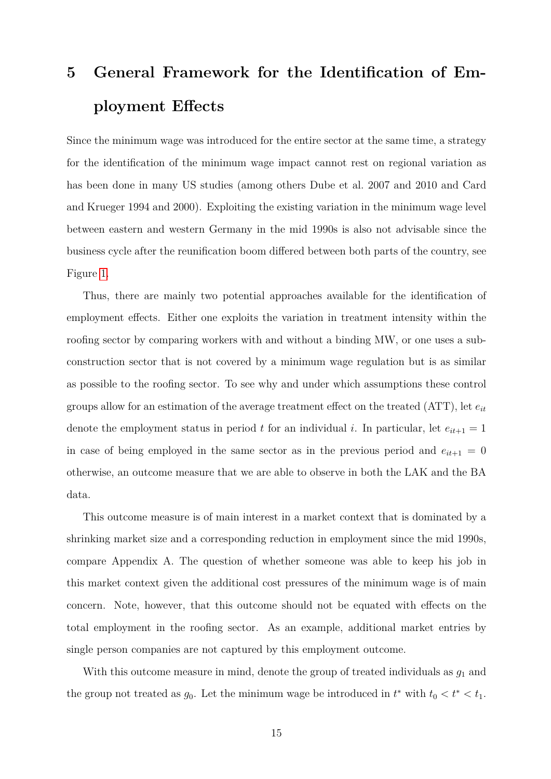# <span id="page-17-0"></span>**5 General Framework for the Identification of Employment Effects**

Since the minimum wage was introduced for the entire sector at the same time, a strategy for the identification of the minimum wage impact cannot rest on regional variation as has been done in many US studies (among others Dube et al. 2007 and 2010 and Card and Krueger 1994 and 2000). Exploiting the existing variation in the minimum wage level between eastern and western Germany in the mid 1990s is also not advisable since the business cycle after the reunification boom differed between both parts of the country, see Figure [1.](#page-7-0)

Thus, there are mainly two potential approaches available for the identification of employment effects. Either one exploits the variation in treatment intensity within the roofing sector by comparing workers with and without a binding MW, or one uses a subconstruction sector that is not covered by a minimum wage regulation but is as similar as possible to the roofing sector. To see why and under which assumptions these control groups allow for an estimation of the average treatment effect on the treated  $(ATT)$ , let  $e_{it}$ denote the employment status in period *t* for an individual *i*. In particular, let  $e_{it+1} = 1$ in case of being employed in the same sector as in the previous period and  $e_{it+1} = 0$ otherwise, an outcome measure that we are able to observe in both the LAK and the BA data.

This outcome measure is of main interest in a market context that is dominated by a shrinking market size and a corresponding reduction in employment since the mid 1990s, compare Appendix A. The question of whether someone was able to keep his job in this market context given the additional cost pressures of the minimum wage is of main concern. Note, however, that this outcome should not be equated with effects on the total employment in the roofing sector. As an example, additional market entries by single person companies are not captured by this employment outcome.

With this outcome measure in mind, denote the group of treated individuals as  $g_1$  and the group not treated as  $g_0$ . Let the minimum wage be introduced in  $t^*$  with  $t_0 < t^* < t_1$ .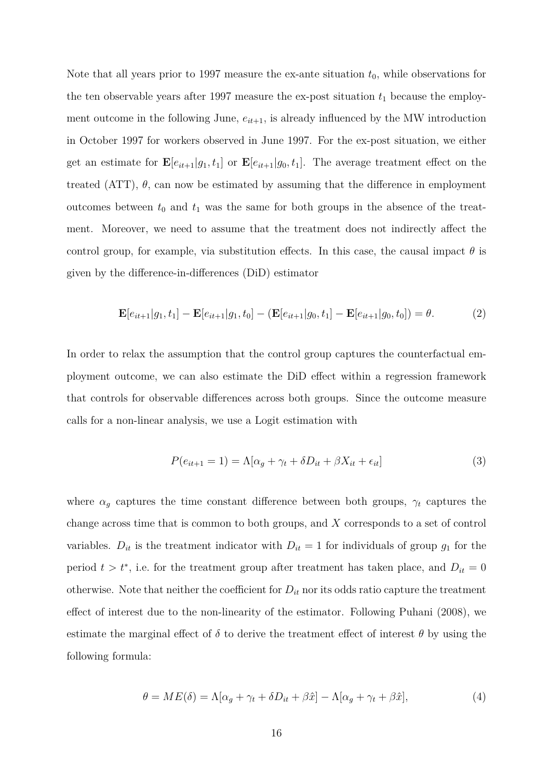Note that all years prior to 1997 measure the ex-ante situation  $t_0$ , while observations for the ten observable years after 1997 measure the ex-post situation  $t_1$  because the employment outcome in the following June,  $e_{it+1}$ , is already influenced by the MW introduction in October 1997 for workers observed in June 1997. For the ex-post situation, we either get an estimate for  $\mathbf{E}[e_{it+1}|g_1,t_1]$  or  $\mathbf{E}[e_{it+1}|g_0,t_1]$ . The average treatment effect on the treated (ATT),  $\theta$ , can now be estimated by assuming that the difference in employment outcomes between  $t_0$  and  $t_1$  was the same for both groups in the absence of the treatment. Moreover, we need to assume that the treatment does not indirectly affect the control group, for example, via substitution effects. In this case, the causal impact  $\theta$  is given by the difference-in-differences (DiD) estimator

$$
\mathbf{E}[e_{it+1}|g_1, t_1] - \mathbf{E}[e_{it+1}|g_1, t_0] - (\mathbf{E}[e_{it+1}|g_0, t_1] - \mathbf{E}[e_{it+1}|g_0, t_0]) = \theta.
$$
 (2)

In order to relax the assumption that the control group captures the counterfactual employment outcome, we can also estimate the DiD effect within a regression framework that controls for observable differences across both groups. Since the outcome measure calls for a non-linear analysis, we use a Logit estimation with

<span id="page-18-0"></span>
$$
P(e_{it+1} = 1) = \Lambda[\alpha_g + \gamma_t + \delta D_{it} + \beta X_{it} + \epsilon_{it}]
$$
\n(3)

where  $\alpha_g$  captures the time constant difference between both groups,  $\gamma_t$  captures the change across time that is common to both groups, and *X* corresponds to a set of control variables.  $D_{it}$  is the treatment indicator with  $D_{it} = 1$  for individuals of group  $g_1$  for the period  $t > t^*$ , i.e. for the treatment group after treatment has taken place, and  $D_{it} = 0$ otherwise. Note that neither the coefficient for  $D_{it}$  nor its odds ratio capture the treatment effect of interest due to the non-linearity of the estimator. Following Puhani (2008), we estimate the marginal effect of  $\delta$  to derive the treatment effect of interest  $\theta$  by using the following formula:

<span id="page-18-1"></span>
$$
\theta = ME(\delta) = \Lambda[\alpha_g + \gamma_t + \delta D_{it} + \beta \hat{x}] - \Lambda[\alpha_g + \gamma_t + \beta \hat{x}], \tag{4}
$$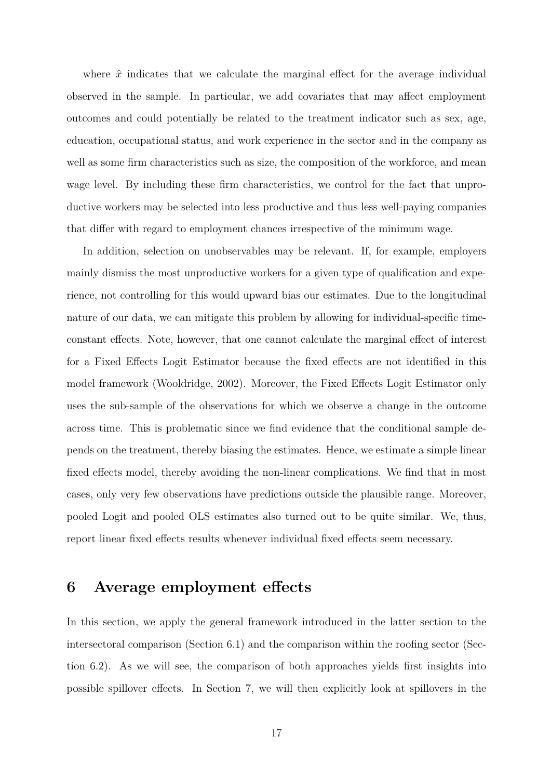where  $\hat{x}$  indicates that we calculate the marginal effect for the average individual observed in the sample. In particular, we add covariates that may affect employment outcomes and could potentially be related to the treatment indicator such as sex, age, education, occupational status, and work experience in the sector and in the company as well as some firm characteristics such as size, the composition of the workforce, and mean wage level. By including these firm characteristics, we control for the fact that unproductive workers may be selected into less productive and thus less well-paying companies that differ with regard to employment chances irrespective of the minimum wage.

In addition, selection on unobservables may be relevant. If, for example, employers mainly dismiss the most unproductive workers for a given type of qualification and experience, not controlling for this would upward bias our estimates. Due to the longitudinal nature of our data, we can mitigate this problem by allowing for individual-specific timeconstant effects. Note, however, that one cannot calculate the marginal effect of interest for a Fixed Effects Logit Estimator because the fixed effects are not identified in this model framework (Wooldridge, 2002). Moreover, the Fixed Effects Logit Estimator only uses the sub-sample of the observations for which we observe a change in the outcome across time. This is problematic since we find evidence that the conditional sample depends on the treatment, thereby biasing the estimates. Hence, we estimate a simple linear fixed effects model, thereby avoiding the non-linear complications. We find that in most cases, only very few observations have predictions outside the plausible range. Moreover, pooled Logit and pooled OLS estimates also turned out to be quite similar. We, thus, report linear fixed effects results whenever individual fixed effects seem necessary.

### <span id="page-19-0"></span>**6 Average employment effects**

In this section, we apply the general framework introduced in the latter section to the intersectoral comparison (Section 6.1) and the comparison within the roofing sector (Section 6.2). As we will see, the comparison of both approaches yields first insights into possible spillover effects. In Section 7, we will then explicitly look at spillovers in the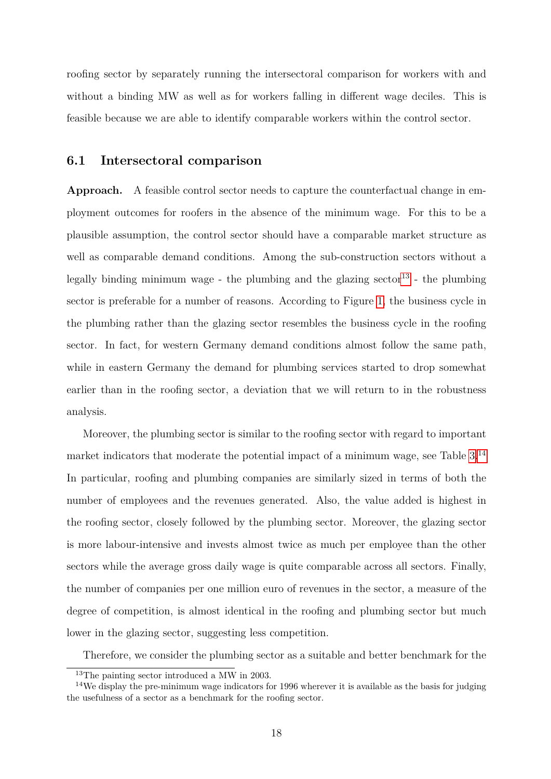roofing sector by separately running the intersectoral comparison for workers with and without a binding MW as well as for workers falling in different wage deciles. This is feasible because we are able to identify comparable workers within the control sector.

#### <span id="page-20-2"></span>**6.1 Intersectoral comparison**

**Approach.** A feasible control sector needs to capture the counterfactual change in employment outcomes for roofers in the absence of the minimum wage. For this to be a plausible assumption, the control sector should have a comparable market structure as well as comparable demand conditions. Among the sub-construction sectors without a legally binding minimum wage - the plumbing and the glazing sector<sup>[13](#page-20-0)</sup> - the plumbing sector is preferable for a number of reasons. According to Figure [1,](#page-7-0) the business cycle in the plumbing rather than the glazing sector resembles the business cycle in the roofing sector. In fact, for western Germany demand conditions almost follow the same path, while in eastern Germany the demand for plumbing services started to drop somewhat earlier than in the roofing sector, a deviation that we will return to in the robustness analysis.

Moreover, the plumbing sector is similar to the roofing sector with regard to important market indicators that moderate the potential impact of a minimum wage, see Table [3.](#page-21-0)[14](#page-20-1) In particular, roofing and plumbing companies are similarly sized in terms of both the number of employees and the revenues generated. Also, the value added is highest in the roofing sector, closely followed by the plumbing sector. Moreover, the glazing sector is more labour-intensive and invests almost twice as much per employee than the other sectors while the average gross daily wage is quite comparable across all sectors. Finally, the number of companies per one million euro of revenues in the sector, a measure of the degree of competition, is almost identical in the roofing and plumbing sector but much lower in the glazing sector, suggesting less competition.

Therefore, we consider the plumbing sector as a suitable and better benchmark for the

<span id="page-20-1"></span><span id="page-20-0"></span><sup>13</sup>The painting sector introduced a MW in 2003.

<sup>&</sup>lt;sup>14</sup>We display the pre-minimum wage indicators for 1996 wherever it is available as the basis for judging the usefulness of a sector as a benchmark for the roofing sector.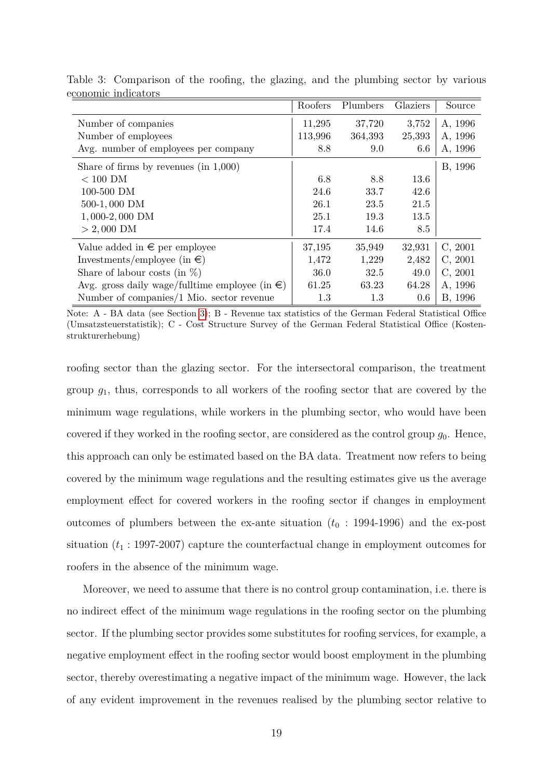|                                                          | Roofers | Plumbers | Glaziers | Source  |
|----------------------------------------------------------|---------|----------|----------|---------|
| Number of companies                                      | 11,295  | 37,720   | 3,752    | A, 1996 |
| Number of employees                                      | 113,996 | 364,393  | 25,393   | A, 1996 |
| Avg. number of employees per company                     | 8.8     | 9.0      | 6.6      | A, 1996 |
| Share of firms by revenues $(in 1,000)$                  |         |          |          | B, 1996 |
| $< 100$ DM                                               | 6.8     | 8.8      | 13.6     |         |
| 100-500 DM                                               | 24.6    | 33.7     | 42.6     |         |
| 500-1,000 DM                                             | 26.1    | 23.5     | 21.5     |         |
| $1,000-2,000$ DM                                         | 25.1    | 19.3     | 13.5     |         |
| $> 2,000$ DM                                             | 17.4    | 14.6     | 8.5      |         |
| Value added in $\epsilon$ per employee                   | 37,195  | 35,949   | 32,931   | C, 2001 |
| Investments/employee (in $\epsilon$ )                    | 1,472   | 1,229    | 2,482    | C, 2001 |
| Share of labour costs (in $\%$ )                         | 36.0    | 32.5     | 49.0     | C, 2001 |
| Avg. gross daily wage/fulltime employee (in $\epsilon$ ) | 61.25   | 63.23    | 64.28    | A, 1996 |
| Number of companies/1 Mio. sector revenue                | 1.3     | 1.3      | $0.6\,$  | B, 1996 |

<span id="page-21-0"></span>Table 3: Comparison of the roofing, the glazing, and the plumbing sector by various economic indicators

Note: A - BA data (see Section [3\)](#page-10-0); B - Revenue tax statistics of the German Federal Statistical Office (Umsatzsteuerstatistik); C - Cost Structure Survey of the German Federal Statistical Office (Kostenstrukturerhebung)

roofing sector than the glazing sector. For the intersectoral comparison, the treatment group *g*1, thus, corresponds to all workers of the roofing sector that are covered by the minimum wage regulations, while workers in the plumbing sector, who would have been covered if they worked in the roofing sector, are considered as the control group  $g_0$ . Hence, this approach can only be estimated based on the BA data. Treatment now refers to being covered by the minimum wage regulations and the resulting estimates give us the average employment effect for covered workers in the roofing sector if changes in employment outcomes of plumbers between the ex-ante situation  $(t_0 : 1994-1996)$  and the ex-post situation  $(t_1: 1997-2007)$  capture the counterfactual change in employment outcomes for roofers in the absence of the minimum wage.

Moreover, we need to assume that there is no control group contamination, i.e. there is no indirect effect of the minimum wage regulations in the roofing sector on the plumbing sector. If the plumbing sector provides some substitutes for roofing services, for example, a negative employment effect in the roofing sector would boost employment in the plumbing sector, thereby overestimating a negative impact of the minimum wage. However, the lack of any evident improvement in the revenues realised by the plumbing sector relative to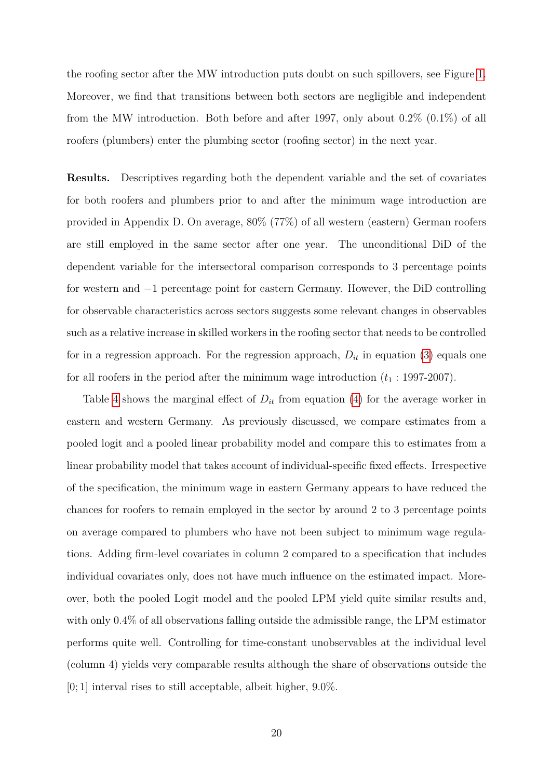the roofing sector after the MW introduction puts doubt on such spillovers, see Figure [1.](#page-7-0) Moreover, we find that transitions between both sectors are negligible and independent from the MW introduction. Both before and after 1997, only about  $0.2\%$   $(0.1\%)$  of all roofers (plumbers) enter the plumbing sector (roofing sector) in the next year.

**Results.** Descriptives regarding both the dependent variable and the set of covariates for both roofers and plumbers prior to and after the minimum wage introduction are provided in Appendix D. On average, 80% (77%) of all western (eastern) German roofers are still employed in the same sector after one year. The unconditional DiD of the dependent variable for the intersectoral comparison corresponds to 3 percentage points for western and −1 percentage point for eastern Germany. However, the DiD controlling for observable characteristics across sectors suggests some relevant changes in observables such as a relative increase in skilled workers in the roofing sector that needs to be controlled for in a regression approach. For the regression approach,  $D_{it}$  in equation [\(3\)](#page-18-0) equals one for all roofers in the period after the minimum wage introduction  $(t_1 : 1997-2007)$ .

Table [4](#page-23-0) shows the marginal effect of  $D_{it}$  from equation [\(4\)](#page-18-1) for the average worker in eastern and western Germany. As previously discussed, we compare estimates from a pooled logit and a pooled linear probability model and compare this to estimates from a linear probability model that takes account of individual-specific fixed effects. Irrespective of the specification, the minimum wage in eastern Germany appears to have reduced the chances for roofers to remain employed in the sector by around 2 to 3 percentage points on average compared to plumbers who have not been subject to minimum wage regulations. Adding firm-level covariates in column 2 compared to a specification that includes individual covariates only, does not have much influence on the estimated impact. Moreover, both the pooled Logit model and the pooled LPM yield quite similar results and, with only 0.4% of all observations falling outside the admissible range, the LPM estimator performs quite well. Controlling for time-constant unobservables at the individual level (column 4) yields very comparable results although the share of observations outside the  $[0; 1]$  interval rises to still acceptable, albeit higher,  $9.0\%$ .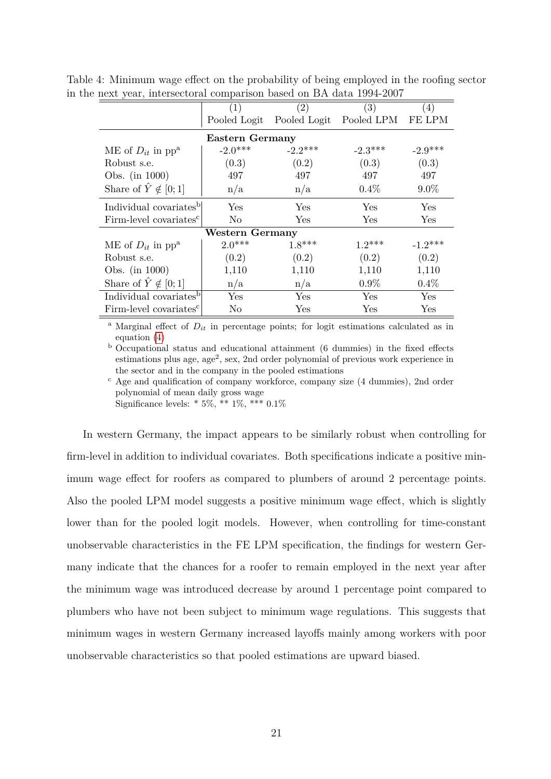<span id="page-23-0"></span>

| πελί γιαι, πιστρετοπαι comparison based on DIV data 1994-2001 |                        |                                      |            |           |  |  |  |  |  |
|---------------------------------------------------------------|------------------------|--------------------------------------|------------|-----------|--|--|--|--|--|
|                                                               | (1)                    | (2)                                  | (3)        | (4)       |  |  |  |  |  |
|                                                               |                        | Pooled Logit Pooled Logit Pooled LPM |            | FE LPM    |  |  |  |  |  |
| <b>Eastern Germany</b>                                        |                        |                                      |            |           |  |  |  |  |  |
| ME of $D_{it}$ in pp <sup>a</sup>                             | $-2.0***$              | $-2.2***$                            | $-2.3***$  | $-2.9***$ |  |  |  |  |  |
| Robust s.e.                                                   | (0.3)                  | (0.2)                                | (0.3)      | (0.3)     |  |  |  |  |  |
| Obs. (in 1000)                                                | 497                    | 497                                  | 497        | 497       |  |  |  |  |  |
| Share of $\hat{Y} \notin [0;1]$                               | n/a                    | n/a                                  | $0.4\%$    | $9.0\%$   |  |  |  |  |  |
| Individual covariates <sup>b</sup>                            | Yes                    | <b>Yes</b>                           | Yes        | Yes       |  |  |  |  |  |
| Firm-level covariates <sup>c</sup>                            | N <sub>0</sub>         | <b>Yes</b>                           | <b>Yes</b> | Yes       |  |  |  |  |  |
|                                                               | <b>Western Germany</b> |                                      |            |           |  |  |  |  |  |
| ME of $D_{it}$ in pp <sup>a</sup>                             | $2.0***$               | $1.8***$                             | $1.2***$   | $-1.2***$ |  |  |  |  |  |
| Robust s.e.                                                   | (0.2)                  | (0.2)                                | (0.2)      | (0.2)     |  |  |  |  |  |
| Obs. (in $1000$ )                                             | 1,110                  | 1,110                                | 1,110      | 1,110     |  |  |  |  |  |
| Share of $Y \notin [0,1]$                                     | n/a                    | n/a                                  | $0.9\%$    | 0.4%      |  |  |  |  |  |
| Individual covariates <sup>b</sup>                            | Yes                    | Yes                                  | Yes        | Yes       |  |  |  |  |  |
| Firm-level covariates <sup>c</sup>                            | No                     | Yes                                  | Yes        | Yes       |  |  |  |  |  |

Table 4: Minimum wage effect on the probability of being employed in the roofing sector in the next year, intersectoral comparison based on BA data 1994-2007

<sup>a</sup> Marginal effect of  $D_{it}$  in percentage points; for logit estimations calculated as in equation [\(4\)](#page-18-1)

<sup>b</sup> Occupational status and educational attainment (6 dummies) in the fixed effects estimations plus age, age<sup>2</sup>, sex, 2nd order polynomial of previous work experience in the sector and in the company in the pooled estimations

 $\rm^c$  Age and qualification of company workforce, company size (4 dummies), 2nd order polynomial of mean daily gross wage

Significance levels: \* 5%, \*\* 1%, \*\*\* 0*.*1%

In western Germany, the impact appears to be similarly robust when controlling for firm-level in addition to individual covariates. Both specifications indicate a positive minimum wage effect for roofers as compared to plumbers of around 2 percentage points. Also the pooled LPM model suggests a positive minimum wage effect, which is slightly lower than for the pooled logit models. However, when controlling for time-constant unobservable characteristics in the FE LPM specification, the findings for western Germany indicate that the chances for a roofer to remain employed in the next year after the minimum wage was introduced decrease by around 1 percentage point compared to plumbers who have not been subject to minimum wage regulations. This suggests that minimum wages in western Germany increased layoffs mainly among workers with poor unobservable characteristics so that pooled estimations are upward biased.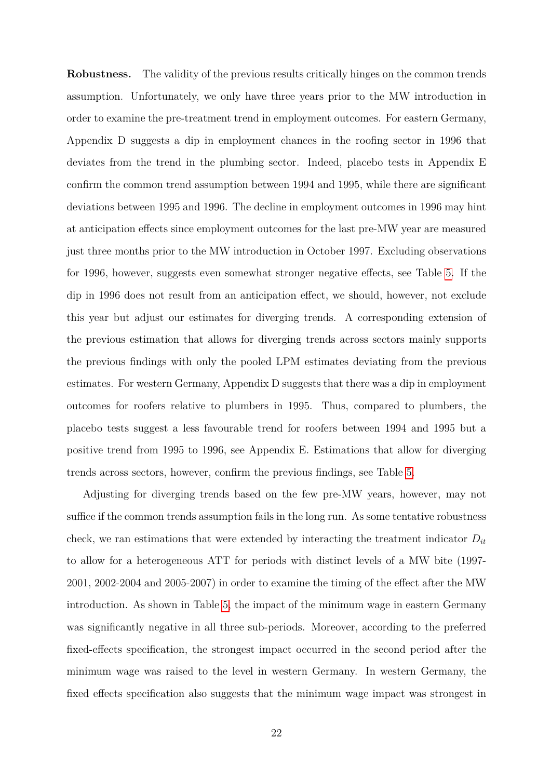**Robustness.** The validity of the previous results critically hinges on the common trends assumption. Unfortunately, we only have three years prior to the MW introduction in order to examine the pre-treatment trend in employment outcomes. For eastern Germany, Appendix D suggests a dip in employment chances in the roofing sector in 1996 that deviates from the trend in the plumbing sector. Indeed, placebo tests in Appendix E confirm the common trend assumption between 1994 and 1995, while there are significant deviations between 1995 and 1996. The decline in employment outcomes in 1996 may hint at anticipation effects since employment outcomes for the last pre-MW year are measured just three months prior to the MW introduction in October 1997. Excluding observations for 1996, however, suggests even somewhat stronger negative effects, see Table [5.](#page-25-0) If the dip in 1996 does not result from an anticipation effect, we should, however, not exclude this year but adjust our estimates for diverging trends. A corresponding extension of the previous estimation that allows for diverging trends across sectors mainly supports the previous findings with only the pooled LPM estimates deviating from the previous estimates. For western Germany, Appendix D suggests that there was a dip in employment outcomes for roofers relative to plumbers in 1995. Thus, compared to plumbers, the placebo tests suggest a less favourable trend for roofers between 1994 and 1995 but a positive trend from 1995 to 1996, see Appendix E. Estimations that allow for diverging trends across sectors, however, confirm the previous findings, see Table [5.](#page-25-0)

Adjusting for diverging trends based on the few pre-MW years, however, may not suffice if the common trends assumption fails in the long run. As some tentative robustness check, we ran estimations that were extended by interacting the treatment indicator *Dit* to allow for a heterogeneous ATT for periods with distinct levels of a MW bite (1997- 2001, 2002-2004 and 2005-2007) in order to examine the timing of the effect after the MW introduction. As shown in Table [5,](#page-25-0) the impact of the minimum wage in eastern Germany was significantly negative in all three sub-periods. Moreover, according to the preferred fixed-effects specification, the strongest impact occurred in the second period after the minimum wage was raised to the level in western Germany. In western Germany, the fixed effects specification also suggests that the minimum wage impact was strongest in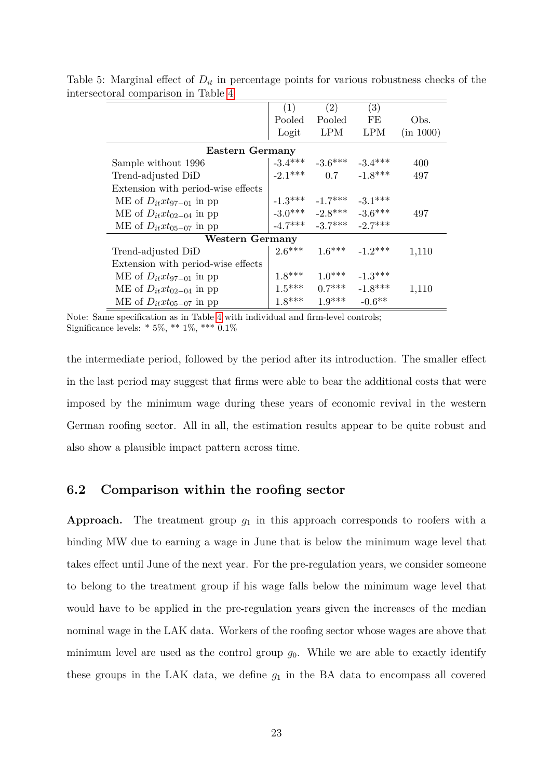<span id="page-25-0"></span>

|                                    | (1)       | (2)                           | (3)        |           |
|------------------------------------|-----------|-------------------------------|------------|-----------|
|                                    | Pooled    | Pooled                        | FE         | Obs.      |
|                                    | Logit     | <b>LPM</b>                    | <b>LPM</b> | (in 1000) |
| Eastern Germany                    |           |                               |            |           |
| Sample without 1996                |           | $-3.4***$ $-3.6***$ $-3.4***$ |            | 400       |
| Trend-adjusted DiD                 | $-2.1***$ | 0.7                           | $-1.8***$  | 497       |
| Extension with period-wise effects |           |                               |            |           |
| ME of $D_{it}xt_{97-01}$ in pp     |           | $-1.3***$ $-1.7***$ $-3.1***$ |            |           |
| ME of $D_{it}xt_{02-04}$ in pp     |           | $-3.0***$ $-2.8***$ $-3.6***$ |            | 497       |
| ME of $D_{it}xt_{05-07}$ in pp     |           | $-4.7***$ $-3.7***$ $-2.7***$ |            |           |
| <b>Western Germany</b>             |           |                               |            |           |
| Trend-adjusted DiD                 | $2.6***$  | $1.6***$ $-1.2***$            |            | 1,110     |
| Extension with period-wise effects |           |                               |            |           |
| ME of $D_{it}xt_{97-01}$ in pp     | $1.8***$  | $1.0***$                      | $-1.3***$  |           |
| ME of $D_{it}xt_{02-04}$ in pp     | $1.5***$  | $0.7***$                      | $-1.8***$  | 1,110     |
| ME of $D_{it}xt_{05-07}$ in pp     | $1.8***$  | $1.9***$                      | $-0.6**$   |           |

Table 5: Marginal effect of *Dit* in percentage points for various robustness checks of the intersectoral comparison in Table [4](#page-23-0)

Note: Same specification as in Table [4](#page-23-0) with individual and firm-level controls; Significance levels: \* 5%, \*\* 1%, \*\*\* 0*.*1%

the intermediate period, followed by the period after its introduction. The smaller effect in the last period may suggest that firms were able to bear the additional costs that were imposed by the minimum wage during these years of economic revival in the western German roofing sector. All in all, the estimation results appear to be quite robust and also show a plausible impact pattern across time.

#### <span id="page-25-1"></span>**6.2 Comparison within the roofing sector**

**Approach.** The treatment group  $g_1$  in this approach corresponds to roofers with a binding MW due to earning a wage in June that is below the minimum wage level that takes effect until June of the next year. For the pre-regulation years, we consider someone to belong to the treatment group if his wage falls below the minimum wage level that would have to be applied in the pre-regulation years given the increases of the median nominal wage in the LAK data. Workers of the roofing sector whose wages are above that minimum level are used as the control group  $g_0$ . While we are able to exactly identify these groups in the LAK data, we define  $g_1$  in the BA data to encompass all covered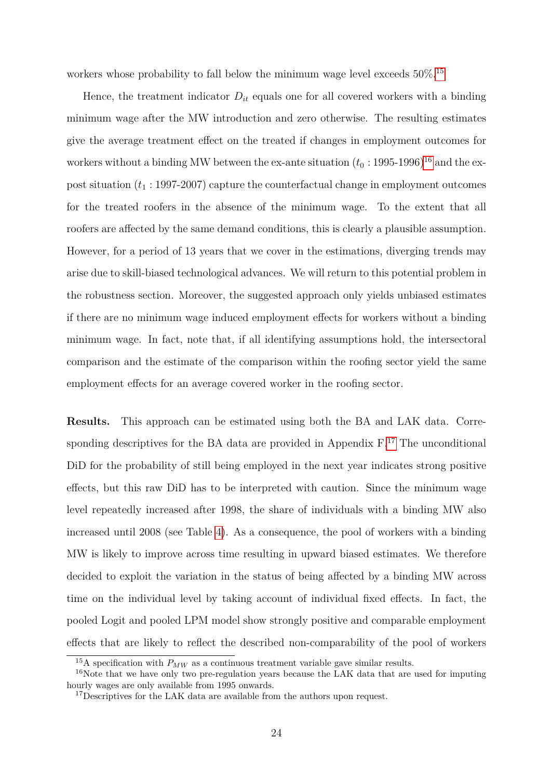workers whose probability to fall below the minimum wage level exceeds  $50\%$ .<sup>[15](#page-26-0)</sup>

Hence, the treatment indicator  $D_{it}$  equals one for all covered workers with a binding minimum wage after the MW introduction and zero otherwise. The resulting estimates give the average treatment effect on the treated if changes in employment outcomes for workers without a binding MW between the ex-ante situation  $(t_0: 1995\text{-}1996)^{16}$  $(t_0: 1995\text{-}1996)^{16}$  $(t_0: 1995\text{-}1996)^{16}$  and the expost situation  $(t_1 : 1997-2007)$  capture the counterfactual change in employment outcomes for the treated roofers in the absence of the minimum wage. To the extent that all roofers are affected by the same demand conditions, this is clearly a plausible assumption. However, for a period of 13 years that we cover in the estimations, diverging trends may arise due to skill-biased technological advances. We will return to this potential problem in the robustness section. Moreover, the suggested approach only yields unbiased estimates if there are no minimum wage induced employment effects for workers without a binding minimum wage. In fact, note that, if all identifying assumptions hold, the intersectoral comparison and the estimate of the comparison within the roofing sector yield the same employment effects for an average covered worker in the roofing sector.

**Results.** This approach can be estimated using both the BA and LAK data. Corresponding descriptives for the BA data are provided in Appendix  $F<sup>17</sup>$  $F<sup>17</sup>$  $F<sup>17</sup>$ . The unconditional DiD for the probability of still being employed in the next year indicates strong positive effects, but this raw DiD has to be interpreted with caution. Since the minimum wage level repeatedly increased after 1998, the share of individuals with a binding MW also increased until 2008 (see Table [4\)](#page-12-0). As a consequence, the pool of workers with a binding MW is likely to improve across time resulting in upward biased estimates. We therefore decided to exploit the variation in the status of being affected by a binding MW across time on the individual level by taking account of individual fixed effects. In fact, the pooled Logit and pooled LPM model show strongly positive and comparable employment effects that are likely to reflect the described non-comparability of the pool of workers

<span id="page-26-1"></span><span id="page-26-0"></span><sup>&</sup>lt;sup>15</sup>A specification with  $P_{MW}$  as a continuous treatment variable gave similar results.

<sup>16</sup>Note that we have only two pre-regulation years because the LAK data that are used for imputing hourly wages are only available from 1995 onwards.

<span id="page-26-2"></span><sup>&</sup>lt;sup>17</sup>Descriptives for the LAK data are available from the authors upon request.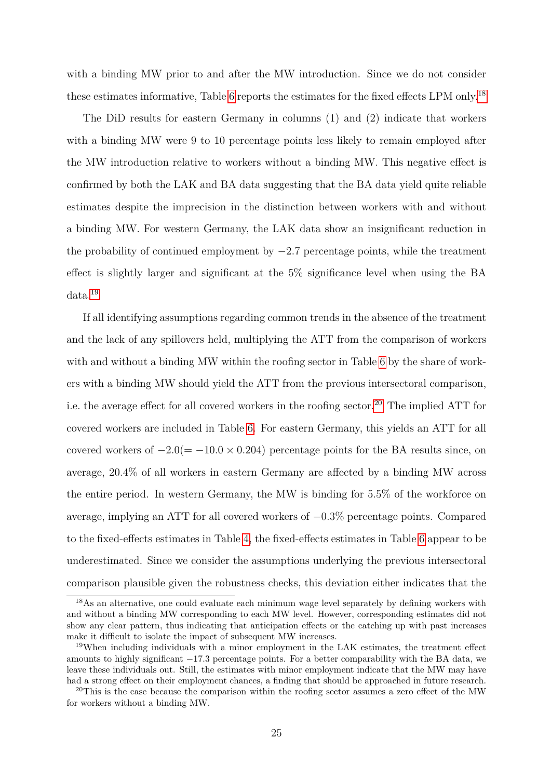with a binding MW prior to and after the MW introduction. Since we do not consider these estimates informative, Table [6](#page-28-0) reports the estimates for the fixed effects LPM only.[18](#page-27-0)

The DiD results for eastern Germany in columns (1) and (2) indicate that workers with a binding MW were 9 to 10 percentage points less likely to remain employed after the MW introduction relative to workers without a binding MW. This negative effect is confirmed by both the LAK and BA data suggesting that the BA data yield quite reliable estimates despite the imprecision in the distinction between workers with and without a binding MW. For western Germany, the LAK data show an insignificant reduction in the probability of continued employment by −2*.*7 percentage points, while the treatment effect is slightly larger and significant at the 5% significance level when using the BA data.[19](#page-27-1)

If all identifying assumptions regarding common trends in the absence of the treatment and the lack of any spillovers held, multiplying the ATT from the comparison of workers with and without a binding MW within the roofing sector in Table [6](#page-28-0) by the share of workers with a binding MW should yield the ATT from the previous intersectoral comparison, i.e. the average effect for all covered workers in the roofing sector.<sup>[20](#page-27-2)</sup> The implied ATT for covered workers are included in Table [6.](#page-28-0) For eastern Germany, this yields an ATT for all covered workers of  $-2.0(=-10.0 \times 0.204)$  percentage points for the BA results since, on average, 20*.*4% of all workers in eastern Germany are affected by a binding MW across the entire period. In western Germany, the MW is binding for 5*.*5% of the workforce on average, implying an ATT for all covered workers of −0*.*3% percentage points. Compared to the fixed-effects estimates in Table [4,](#page-23-0) the fixed-effects estimates in Table [6](#page-28-0) appear to be underestimated. Since we consider the assumptions underlying the previous intersectoral comparison plausible given the robustness checks, this deviation either indicates that the

<span id="page-27-0"></span><sup>18</sup>As an alternative, one could evaluate each minimum wage level separately by defining workers with and without a binding MW corresponding to each MW level. However, corresponding estimates did not show any clear pattern, thus indicating that anticipation effects or the catching up with past increases make it difficult to isolate the impact of subsequent MW increases.

<span id="page-27-1"></span><sup>19</sup>When including individuals with a minor employment in the LAK estimates, the treatment effect amounts to highly significant −17*.*3 percentage points. For a better comparability with the BA data, we leave these individuals out. Still, the estimates with minor employment indicate that the MW may have had a strong effect on their employment chances, a finding that should be approached in future research.

<span id="page-27-2"></span><sup>&</sup>lt;sup>20</sup>This is the case because the comparison within the roofing sector assumes a zero effect of the MW for workers without a binding MW.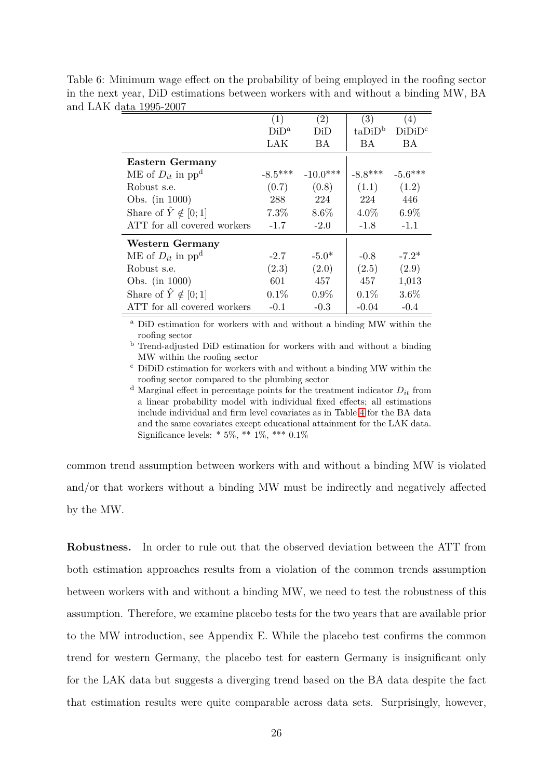|                                   | (1)       | $\left( 2\right)$ | (3)                | $\left(4\right)$   |
|-----------------------------------|-----------|-------------------|--------------------|--------------------|
|                                   | $DiD^a$   | DiD               | taDiD <sup>b</sup> | DiDiD <sup>c</sup> |
|                                   | LAK       | BA                | <b>BA</b>          | BA.                |
| <b>Eastern Germany</b>            |           |                   |                    |                    |
| ME of $D_{it}$ in pp <sup>d</sup> | $-8.5***$ | $-10.0***$        | $-8.8***$          | $-5.6***$          |
| Robust s.e.                       | (0.7)     | (0.8)             | (1.1)              | (1.2)              |
| Obs. (in 1000)                    | 288       | 224               | 224                | 446                |
| Share of $\hat{Y} \notin [0;1]$   | 7.3%      | 8.6%              | $4.0\%$            | $6.9\%$            |
| ATT for all covered workers       | $-1.7$    | $-2.0$            | $-1.8$             | $-1.1$             |
| Western Germany                   |           |                   |                    |                    |
| ME of $D_{it}$ in pp <sup>d</sup> | $-2.7$    | $-5.0*$           | $-0.8$             | $-7.2*$            |
| Robust s.e.                       | (2.3)     | (2.0)             | (2.5)              | (2.9)              |
| Obs. (in 1000)                    | 601       | 457               | 457                | 1,013              |
| Share of $\hat{Y} \notin [0;1]$   | $0.1\%$   | $0.9\%$           | $0.1\%$            | $3.6\%$            |
| ATT for all covered workers       | $-0.1$    | $-0.3$            | $-0.04$            | $-0.4$             |

<span id="page-28-0"></span>Table 6: Minimum wage effect on the probability of being employed in the roofing sector in the next year, DiD estimations between workers with and without a binding MW, BA and LAK data 1995-2007

> <sup>a</sup> DiD estimation for workers with and without a binding MW within the roofing sector

> <sup>b</sup> Trend-adjusted DiD estimation for workers with and without a binding MW within the roofing sector

> <sup>c</sup> DiDiD estimation for workers with and without a binding MW within the roofing sector compared to the plumbing sector

> <sup>d</sup> Marginal effect in percentage points for the treatment indicator  $D_{it}$  from a linear probability model with individual fixed effects; all estimations include individual and firm level covariates as in Table [4](#page-23-0) for the BA data and the same covariates except educational attainment for the LAK data. Significance levels: \* 5%, \*\* 1%, \*\*\* 0*.*1%

common trend assumption between workers with and without a binding MW is violated and/or that workers without a binding MW must be indirectly and negatively affected by the MW.

**Robustness.** In order to rule out that the observed deviation between the ATT from both estimation approaches results from a violation of the common trends assumption between workers with and without a binding MW, we need to test the robustness of this assumption. Therefore, we examine placebo tests for the two years that are available prior to the MW introduction, see Appendix E. While the placebo test confirms the common trend for western Germany, the placebo test for eastern Germany is insignificant only for the LAK data but suggests a diverging trend based on the BA data despite the fact that estimation results were quite comparable across data sets. Surprisingly, however,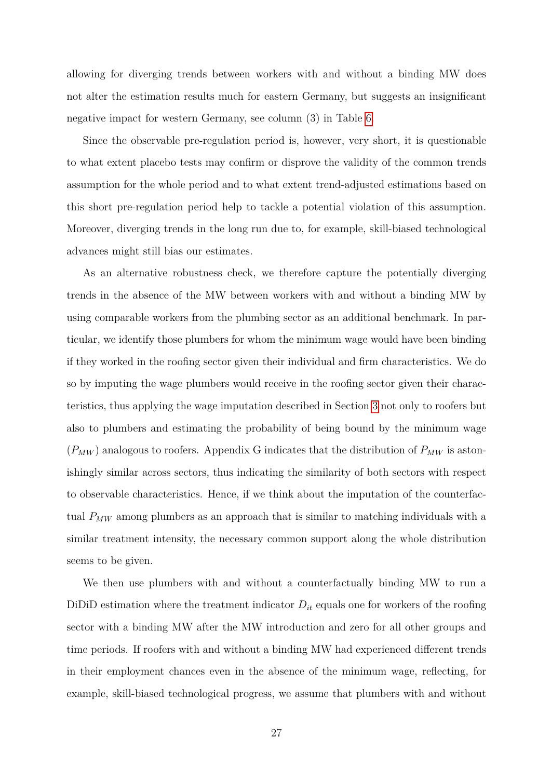allowing for diverging trends between workers with and without a binding MW does not alter the estimation results much for eastern Germany, but suggests an insignificant negative impact for western Germany, see column (3) in Table [6.](#page-28-0)

Since the observable pre-regulation period is, however, very short, it is questionable to what extent placebo tests may confirm or disprove the validity of the common trends assumption for the whole period and to what extent trend-adjusted estimations based on this short pre-regulation period help to tackle a potential violation of this assumption. Moreover, diverging trends in the long run due to, for example, skill-biased technological advances might still bias our estimates.

As an alternative robustness check, we therefore capture the potentially diverging trends in the absence of the MW between workers with and without a binding MW by using comparable workers from the plumbing sector as an additional benchmark. In particular, we identify those plumbers for whom the minimum wage would have been binding if they worked in the roofing sector given their individual and firm characteristics. We do so by imputing the wage plumbers would receive in the roofing sector given their characteristics, thus applying the wage imputation described in Section [3](#page-10-0) not only to roofers but also to plumbers and estimating the probability of being bound by the minimum wage  $(P_{MW})$  analogous to roofers. Appendix G indicates that the distribution of  $P_{MW}$  is astonishingly similar across sectors, thus indicating the similarity of both sectors with respect to observable characteristics. Hence, if we think about the imputation of the counterfactual *PMW* among plumbers as an approach that is similar to matching individuals with a similar treatment intensity, the necessary common support along the whole distribution seems to be given.

We then use plumbers with and without a counterfactually binding MW to run a DiDiD estimation where the treatment indicator  $D_{it}$  equals one for workers of the roofing sector with a binding MW after the MW introduction and zero for all other groups and time periods. If roofers with and without a binding MW had experienced different trends in their employment chances even in the absence of the minimum wage, reflecting, for example, skill-biased technological progress, we assume that plumbers with and without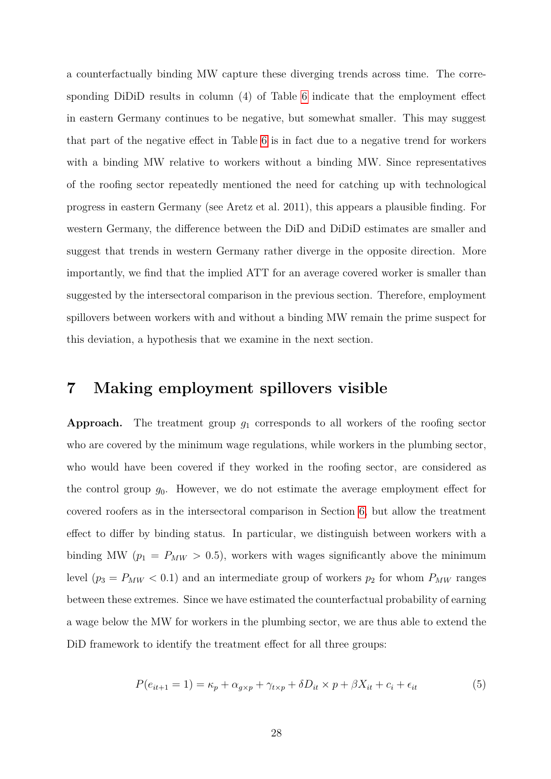a counterfactually binding MW capture these diverging trends across time. The corresponding DiDiD results in column (4) of Table [6](#page-28-0) indicate that the employment effect in eastern Germany continues to be negative, but somewhat smaller. This may suggest that part of the negative effect in Table [6](#page-28-0) is in fact due to a negative trend for workers with a binding MW relative to workers without a binding MW. Since representatives of the roofing sector repeatedly mentioned the need for catching up with technological progress in eastern Germany (see Aretz et al. 2011), this appears a plausible finding. For western Germany, the difference between the DiD and DiDiD estimates are smaller and suggest that trends in western Germany rather diverge in the opposite direction. More importantly, we find that the implied ATT for an average covered worker is smaller than suggested by the intersectoral comparison in the previous section. Therefore, employment spillovers between workers with and without a binding MW remain the prime suspect for this deviation, a hypothesis that we examine in the next section.

### <span id="page-30-0"></span>**7 Making employment spillovers visible**

**Approach.** The treatment group *g*<sup>1</sup> corresponds to all workers of the roofing sector who are covered by the minimum wage regulations, while workers in the plumbing sector, who would have been covered if they worked in the roofing sector, are considered as the control group  $g_0$ . However, we do not estimate the average employment effect for covered roofers as in the intersectoral comparison in Section [6,](#page-19-0) but allow the treatment effect to differ by binding status. In particular, we distinguish between workers with a binding MW ( $p_1 = P_{MW} > 0.5$ ), workers with wages significantly above the minimum level ( $p_3 = P_{MW} < 0.1$ ) and an intermediate group of workers  $p_2$  for whom  $P_{MW}$  ranges between these extremes. Since we have estimated the counterfactual probability of earning a wage below the MW for workers in the plumbing sector, we are thus able to extend the DiD framework to identify the treatment effect for all three groups:

<span id="page-30-1"></span>
$$
P(e_{it+1} = 1) = \kappa_p + \alpha_{g \times p} + \gamma_{t \times p} + \delta D_{it} \times p + \beta X_{it} + c_i + \epsilon_{it}
$$
\n
$$
\tag{5}
$$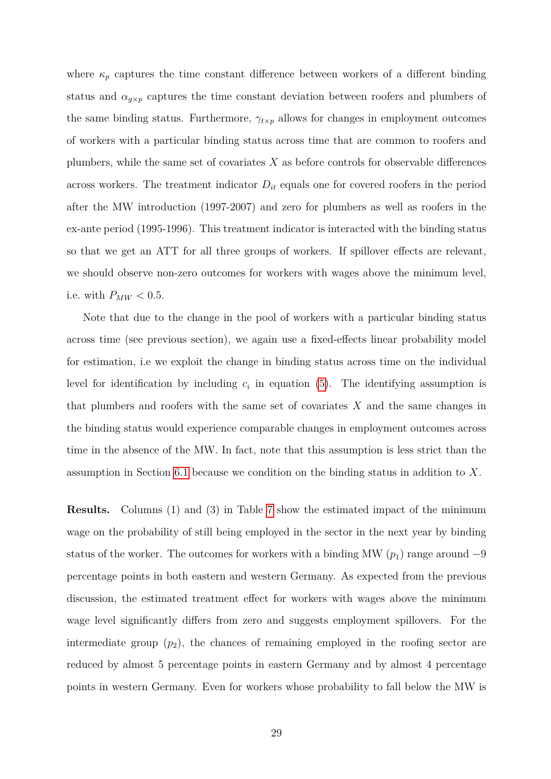where  $\kappa_p$  captures the time constant difference between workers of a different binding status and  $\alpha_{g\times p}$  captures the time constant deviation between roofers and plumbers of the same binding status. Furthermore,  $\gamma_{t\times p}$  allows for changes in employment outcomes of workers with a particular binding status across time that are common to roofers and plumbers, while the same set of covariates *X* as before controls for observable differences across workers. The treatment indicator  $D_{it}$  equals one for covered roofers in the period after the MW introduction (1997-2007) and zero for plumbers as well as roofers in the ex-ante period (1995-1996). This treatment indicator is interacted with the binding status so that we get an ATT for all three groups of workers. If spillover effects are relevant, we should observe non-zero outcomes for workers with wages above the minimum level, i.e. with  $P_{MW} < 0.5$ .

Note that due to the change in the pool of workers with a particular binding status across time (see previous section), we again use a fixed-effects linear probability model for estimation, i.e we exploit the change in binding status across time on the individual level for identification by including  $c_i$  in equation [\(5\)](#page-30-1). The identifying assumption is that plumbers and roofers with the same set of covariates *X* and the same changes in the binding status would experience comparable changes in employment outcomes across time in the absence of the MW. In fact, note that this assumption is less strict than the assumption in Section [6.1](#page-20-2) because we condition on the binding status in addition to *X*.

**Results.** Columns (1) and (3) in Table [7](#page-32-0) show the estimated impact of the minimum wage on the probability of still being employed in the sector in the next year by binding status of the worker. The outcomes for workers with a binding MW  $(p_1)$  range around  $-9$ percentage points in both eastern and western Germany. As expected from the previous discussion, the estimated treatment effect for workers with wages above the minimum wage level significantly differs from zero and suggests employment spillovers. For the intermediate group  $(p_2)$ , the chances of remaining employed in the roofing sector are reduced by almost 5 percentage points in eastern Germany and by almost 4 percentage points in western Germany. Even for workers whose probability to fall below the MW is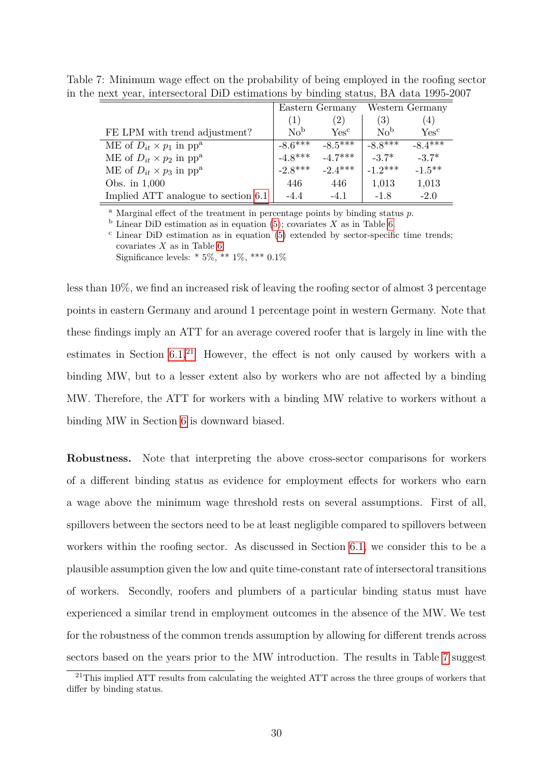<span id="page-32-0"></span>

|                                              |                 | Eastern Germany  |                   | Western Germany           |
|----------------------------------------------|-----------------|------------------|-------------------|---------------------------|
|                                              | (1)             | (2)              | $\left( 3\right)$ | (4)                       |
| FE LPM with trend adjustment?                | No <sup>b</sup> | Yes <sup>c</sup> | No <sup>b</sup>   | $\mathrm{Yes}^\mathrm{c}$ |
| ME of $D_{it} \times p_1$ in pp <sup>a</sup> | $-8.6***$       | $-8.5***$        | $-8.8***$         | $-8.4***$                 |
| ME of $D_{it} \times p_2$ in pp <sup>a</sup> | $-4.8***$       | $-4.7***$        | $-3.7*$           | $-3.7*$                   |
| ME of $D_{it} \times p_3$ in pp <sup>a</sup> | $-2.8***$       | $-2.4***$        | $-1.2***$         | $-1.5***$                 |
| Obs. in $1,000$                              | 446             | 446              | 1,013             | 1,013                     |
| Implied ATT analogue to section 6.1          | -4.4            | $-4.1$           | $-1.8$            | $-2.0$                    |

Table 7: Minimum wage effect on the probability of being employed in the roofing sector in the next year, intersectoral DiD estimations by binding status, BA data 1995-2007

<sup>a</sup> Marginal effect of the treatment in percentage points by binding status *p*.

 $\overline{b}$  Linear DiD estimation as in equation [\(5\)](#page-30-1); covariates *X* as in Table [6.](#page-28-0)

 $\text{c}$  Linear DiD estimation as in equation [\(5\)](#page-30-1) extended by sector-specific time trends; covariates *X* as in Table [6](#page-28-0)

Significance levels: \* 5%, \*\* 1%, \*\*\* 0*.*1%

less than 10%, we find an increased risk of leaving the roofing sector of almost 3 percentage points in eastern Germany and around 1 percentage point in western Germany. Note that these findings imply an ATT for an average covered roofer that is largely in line with the estimates in Section [6.1.](#page-20-2)<sup>[21](#page-32-1)</sup> However, the effect is not only caused by workers with a binding MW, but to a lesser extent also by workers who are not affected by a binding MW. Therefore, the ATT for workers with a binding MW relative to workers without a binding MW in Section [6](#page-28-0) is downward biased.

**Robustness.** Note that interpreting the above cross-sector comparisons for workers of a different binding status as evidence for employment effects for workers who earn a wage above the minimum wage threshold rests on several assumptions. First of all, spillovers between the sectors need to be at least negligible compared to spillovers between workers within the roofing sector. As discussed in Section [6.1,](#page-20-2) we consider this to be a plausible assumption given the low and quite time-constant rate of intersectoral transitions of workers. Secondly, roofers and plumbers of a particular binding status must have experienced a similar trend in employment outcomes in the absence of the MW. We test for the robustness of the common trends assumption by allowing for different trends across sectors based on the years prior to the MW introduction. The results in Table [7](#page-32-0) suggest

<span id="page-32-1"></span> $21$ This implied ATT results from calculating the weighted ATT across the three groups of workers that differ by binding status.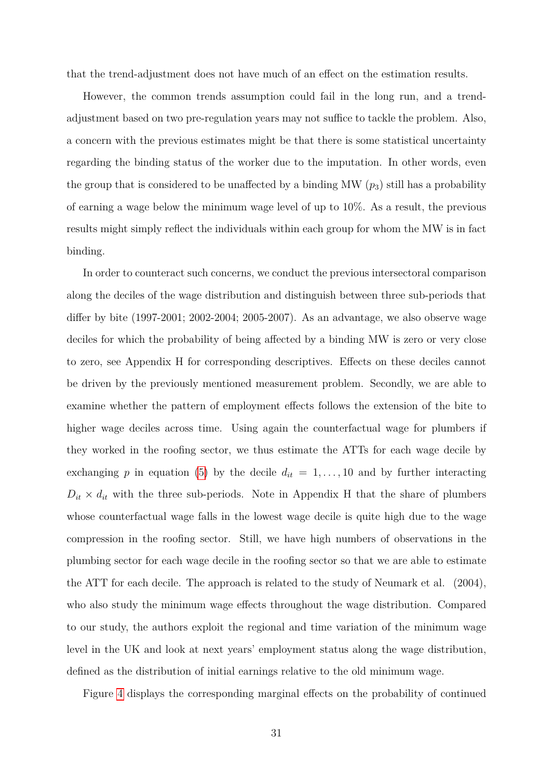that the trend-adjustment does not have much of an effect on the estimation results.

However, the common trends assumption could fail in the long run, and a trendadjustment based on two pre-regulation years may not suffice to tackle the problem. Also, a concern with the previous estimates might be that there is some statistical uncertainty regarding the binding status of the worker due to the imputation. In other words, even the group that is considered to be unaffected by a binding MW (*p*3) still has a probability of earning a wage below the minimum wage level of up to 10%. As a result, the previous results might simply reflect the individuals within each group for whom the MW is in fact binding.

In order to counteract such concerns, we conduct the previous intersectoral comparison along the deciles of the wage distribution and distinguish between three sub-periods that differ by bite (1997-2001; 2002-2004; 2005-2007). As an advantage, we also observe wage deciles for which the probability of being affected by a binding MW is zero or very close to zero, see Appendix H for corresponding descriptives. Effects on these deciles cannot be driven by the previously mentioned measurement problem. Secondly, we are able to examine whether the pattern of employment effects follows the extension of the bite to higher wage deciles across time. Using again the counterfactual wage for plumbers if they worked in the roofing sector, we thus estimate the ATTs for each wage decile by exchanging p in equation [\(5\)](#page-30-1) by the decile  $d_{it} = 1, \ldots, 10$  and by further interacting  $D_{it} \times d_{it}$  with the three sub-periods. Note in Appendix H that the share of plumbers whose counterfactual wage falls in the lowest wage decile is quite high due to the wage compression in the roofing sector. Still, we have high numbers of observations in the plumbing sector for each wage decile in the roofing sector so that we are able to estimate the ATT for each decile. The approach is related to the study of Neumark et al. (2004), who also study the minimum wage effects throughout the wage distribution. Compared to our study, the authors exploit the regional and time variation of the minimum wage level in the UK and look at next years' employment status along the wage distribution, defined as the distribution of initial earnings relative to the old minimum wage.

Figure [4](#page-34-0) displays the corresponding marginal effects on the probability of continued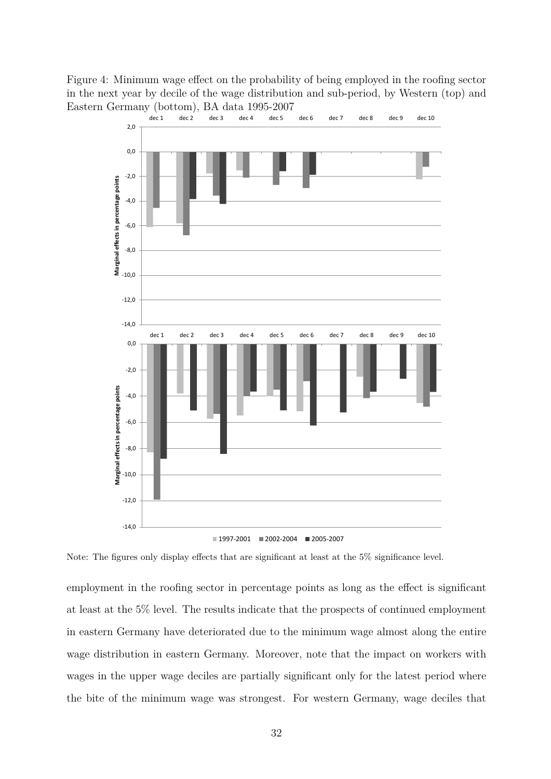Figure 4: Minimum wage effect on the probability of being employed in the roofing sector in the next year by decile of the wage distribution and sub-period, by Western (top) and Eastern Germany (bottom), BA data 1995-2007<br>dec 1 dec 2 dec 3 dec 4 dec 5

<span id="page-34-0"></span>

Note: The figures only display effects that are significant at least at the 5% significance level.

employment in the roofing sector in percentage points as long as the effect is significant at least at the 5% level. The results indicate that the prospects of continued employment in eastern Germany have deteriorated due to the minimum wage almost along the entire wage distribution in eastern Germany. Moreover, note that the impact on workers with wages in the upper wage deciles are partially significant only for the latest period where the bite of the minimum wage was strongest. For western Germany, wage deciles that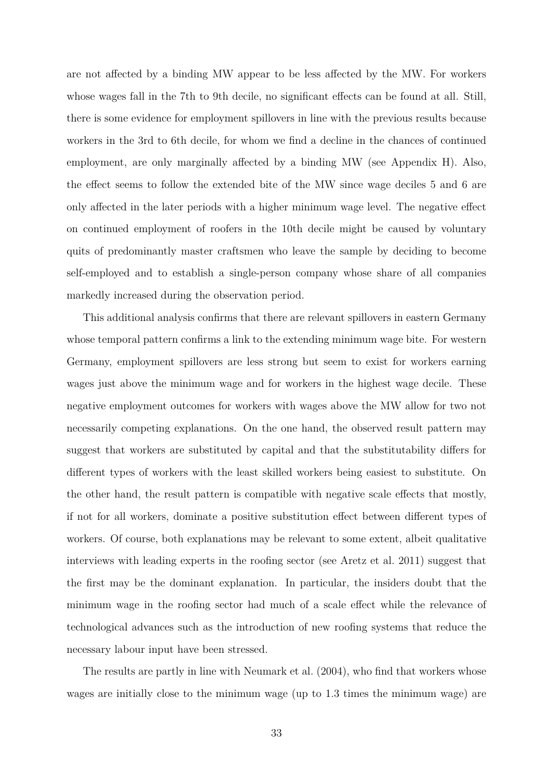are not affected by a binding MW appear to be less affected by the MW. For workers whose wages fall in the 7th to 9th decile, no significant effects can be found at all. Still, there is some evidence for employment spillovers in line with the previous results because workers in the 3rd to 6th decile, for whom we find a decline in the chances of continued employment, are only marginally affected by a binding MW (see Appendix H). Also, the effect seems to follow the extended bite of the MW since wage deciles 5 and 6 are only affected in the later periods with a higher minimum wage level. The negative effect on continued employment of roofers in the 10th decile might be caused by voluntary quits of predominantly master craftsmen who leave the sample by deciding to become self-employed and to establish a single-person company whose share of all companies markedly increased during the observation period.

This additional analysis confirms that there are relevant spillovers in eastern Germany whose temporal pattern confirms a link to the extending minimum wage bite. For western Germany, employment spillovers are less strong but seem to exist for workers earning wages just above the minimum wage and for workers in the highest wage decile. These negative employment outcomes for workers with wages above the MW allow for two not necessarily competing explanations. On the one hand, the observed result pattern may suggest that workers are substituted by capital and that the substitutability differs for different types of workers with the least skilled workers being easiest to substitute. On the other hand, the result pattern is compatible with negative scale effects that mostly, if not for all workers, dominate a positive substitution effect between different types of workers. Of course, both explanations may be relevant to some extent, albeit qualitative interviews with leading experts in the roofing sector (see Aretz et al. 2011) suggest that the first may be the dominant explanation. In particular, the insiders doubt that the minimum wage in the roofing sector had much of a scale effect while the relevance of technological advances such as the introduction of new roofing systems that reduce the necessary labour input have been stressed.

The results are partly in line with Neumark et al. (2004), who find that workers whose wages are initially close to the minimum wage (up to 1.3 times the minimum wage) are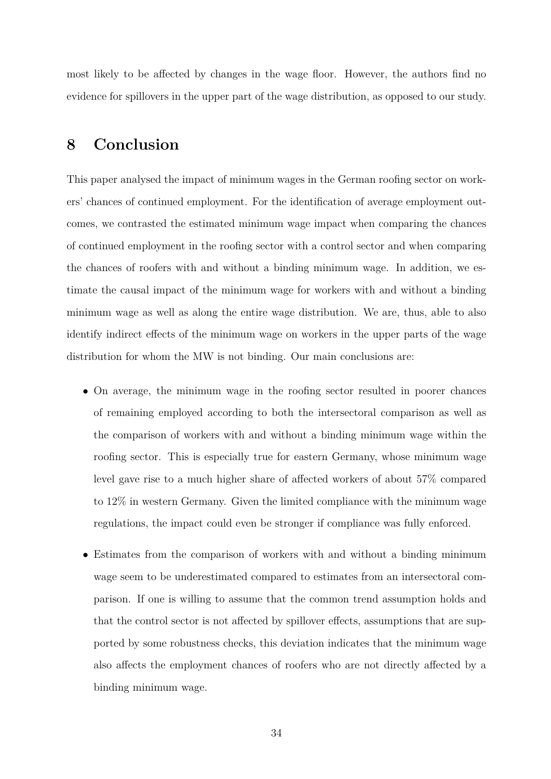most likely to be affected by changes in the wage floor. However, the authors find no evidence for spillovers in the upper part of the wage distribution, as opposed to our study.

## <span id="page-36-0"></span>**8 Conclusion**

This paper analysed the impact of minimum wages in the German roofing sector on workers' chances of continued employment. For the identification of average employment outcomes, we contrasted the estimated minimum wage impact when comparing the chances of continued employment in the roofing sector with a control sector and when comparing the chances of roofers with and without a binding minimum wage. In addition, we estimate the causal impact of the minimum wage for workers with and without a binding minimum wage as well as along the entire wage distribution. We are, thus, able to also identify indirect effects of the minimum wage on workers in the upper parts of the wage distribution for whom the MW is not binding. Our main conclusions are:

- On average, the minimum wage in the roofing sector resulted in poorer chances of remaining employed according to both the intersectoral comparison as well as the comparison of workers with and without a binding minimum wage within the roofing sector. This is especially true for eastern Germany, whose minimum wage level gave rise to a much higher share of affected workers of about 57% compared to 12% in western Germany. Given the limited compliance with the minimum wage regulations, the impact could even be stronger if compliance was fully enforced.
- Estimates from the comparison of workers with and without a binding minimum wage seem to be underestimated compared to estimates from an intersectoral comparison. If one is willing to assume that the common trend assumption holds and that the control sector is not affected by spillover effects, assumptions that are supported by some robustness checks, this deviation indicates that the minimum wage also affects the employment chances of roofers who are not directly affected by a binding minimum wage.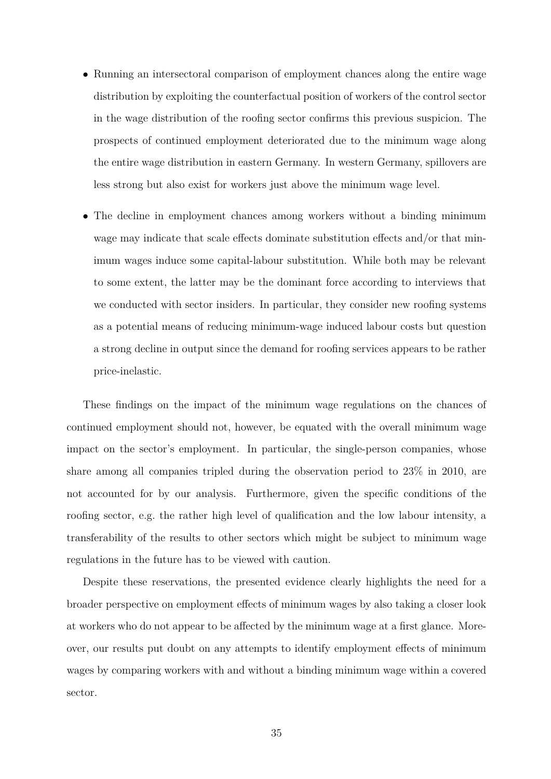- Running an intersectoral comparison of employment chances along the entire wage distribution by exploiting the counterfactual position of workers of the control sector in the wage distribution of the roofing sector confirms this previous suspicion. The prospects of continued employment deteriorated due to the minimum wage along the entire wage distribution in eastern Germany. In western Germany, spillovers are less strong but also exist for workers just above the minimum wage level.
- The decline in employment chances among workers without a binding minimum wage may indicate that scale effects dominate substitution effects and/or that minimum wages induce some capital-labour substitution. While both may be relevant to some extent, the latter may be the dominant force according to interviews that we conducted with sector insiders. In particular, they consider new roofing systems as a potential means of reducing minimum-wage induced labour costs but question a strong decline in output since the demand for roofing services appears to be rather price-inelastic.

These findings on the impact of the minimum wage regulations on the chances of continued employment should not, however, be equated with the overall minimum wage impact on the sector's employment. In particular, the single-person companies, whose share among all companies tripled during the observation period to 23% in 2010, are not accounted for by our analysis. Furthermore, given the specific conditions of the roofing sector, e.g. the rather high level of qualification and the low labour intensity, a transferability of the results to other sectors which might be subject to minimum wage regulations in the future has to be viewed with caution.

Despite these reservations, the presented evidence clearly highlights the need for a broader perspective on employment effects of minimum wages by also taking a closer look at workers who do not appear to be affected by the minimum wage at a first glance. Moreover, our results put doubt on any attempts to identify employment effects of minimum wages by comparing workers with and without a binding minimum wage within a covered sector.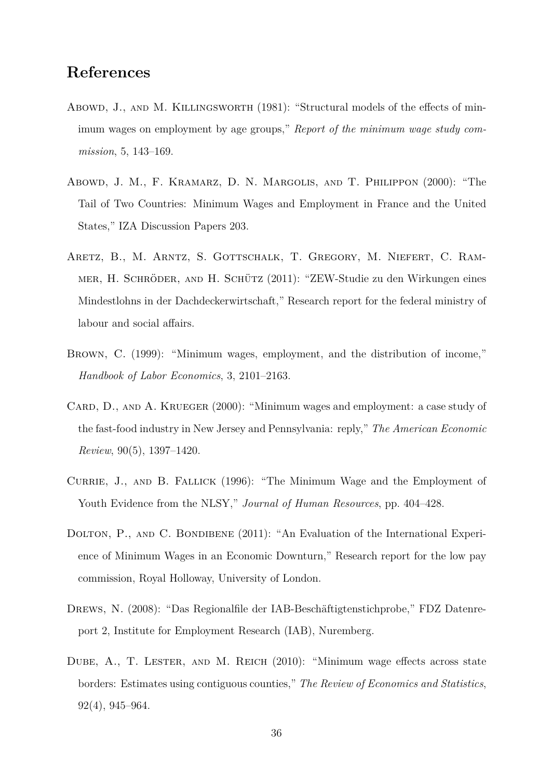## **References**

- Abowd, J., AND M. KILLINGSWORTH (1981): "Structural models of the effects of minimum wages on employment by age groups," *Report of the minimum wage study commission*, 5, 143–169.
- Abowd, J. M., F. Kramarz, D. N. Margolis, and T. Philippon (2000): "The Tail of Two Countries: Minimum Wages and Employment in France and the United States," IZA Discussion Papers 203.
- Aretz, B., M. Arntz, S. Gottschalk, T. Gregory, M. Niefert, C. Rammer, H. Schröder, and H. Schütz (2011): "ZEW-Studie zu den Wirkungen eines Mindestlohns in der Dachdeckerwirtschaft," Research report for the federal ministry of labour and social affairs.
- Brown, C. (1999): "Minimum wages, employment, and the distribution of income," *Handbook of Labor Economics*, 3, 2101–2163.
- CARD, D., AND A. KRUEGER (2000): "Minimum wages and employment: a case study of the fast-food industry in New Jersey and Pennsylvania: reply," *The American Economic Review*, 90(5), 1397–1420.
- CURRIE, J., AND B. FALLICK (1996): "The Minimum Wage and the Employment of Youth Evidence from the NLSY," *Journal of Human Resources*, pp. 404–428.
- DOLTON, P., AND C. BONDIBENE (2011): "An Evaluation of the International Experience of Minimum Wages in an Economic Downturn," Research report for the low pay commission, Royal Holloway, University of London.
- Drews, N. (2008): "Das Regionalfile der IAB-Beschäftigtenstichprobe," FDZ Datenreport 2, Institute for Employment Research (IAB), Nuremberg.
- DUBE, A., T. LESTER, AND M. REICH (2010): "Minimum wage effects across state borders: Estimates using contiguous counties," *The Review of Economics and Statistics*, 92(4), 945–964.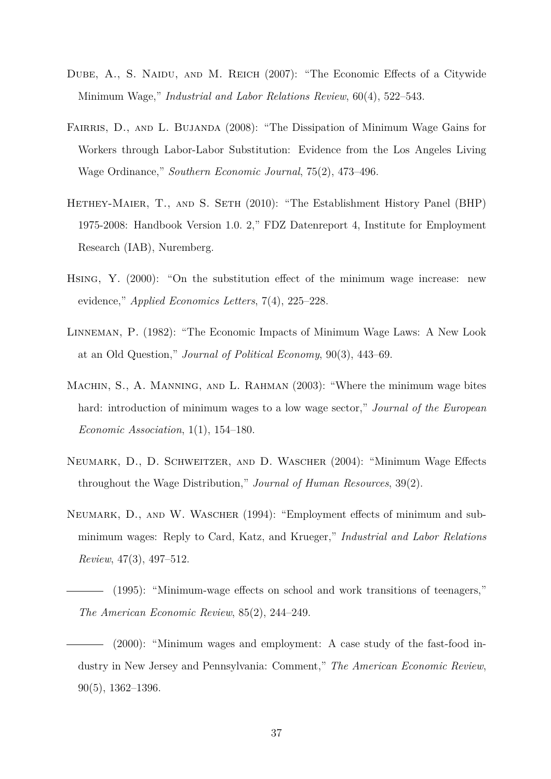- DUBE, A., S. NAIDU, AND M. REICH (2007): "The Economic Effects of a Citywide Minimum Wage," *Industrial and Labor Relations Review*, 60(4), 522–543.
- FAIRRIS, D., AND L. BUJANDA (2008): "The Dissipation of Minimum Wage Gains for Workers through Labor-Labor Substitution: Evidence from the Los Angeles Living Wage Ordinance," *Southern Economic Journal*, 75(2), 473–496.
- HETHEY-MAIER, T., AND S. SETH (2010): "The Establishment History Panel (BHP) 1975-2008: Handbook Version 1.0. 2," FDZ Datenreport 4, Institute for Employment Research (IAB), Nuremberg.
- Hsing, Y. (2000): "On the substitution effect of the minimum wage increase: new evidence," *Applied Economics Letters*, 7(4), 225–228.
- Linneman, P. (1982): "The Economic Impacts of Minimum Wage Laws: A New Look at an Old Question," *Journal of Political Economy*, 90(3), 443–69.
- MACHIN, S., A. MANNING, AND L. RAHMAN (2003): "Where the minimum wage bites hard: introduction of minimum wages to a low wage sector," *Journal of the European Economic Association*, 1(1), 154–180.
- Neumark, D., D. Schweitzer, and D. Wascher (2004): "Minimum Wage Effects throughout the Wage Distribution," *Journal of Human Resources*, 39(2).
- NEUMARK, D., AND W. WASCHER (1994): "Employment effects of minimum and subminimum wages: Reply to Card, Katz, and Krueger," *Industrial and Labor Relations Review*, 47(3), 497–512.
- (1995): "Minimum-wage effects on school and work transitions of teenagers," *The American Economic Review*, 85(2), 244–249.
	- (2000): "Minimum wages and employment: A case study of the fast-food industry in New Jersey and Pennsylvania: Comment," *The American Economic Review*, 90(5), 1362–1396.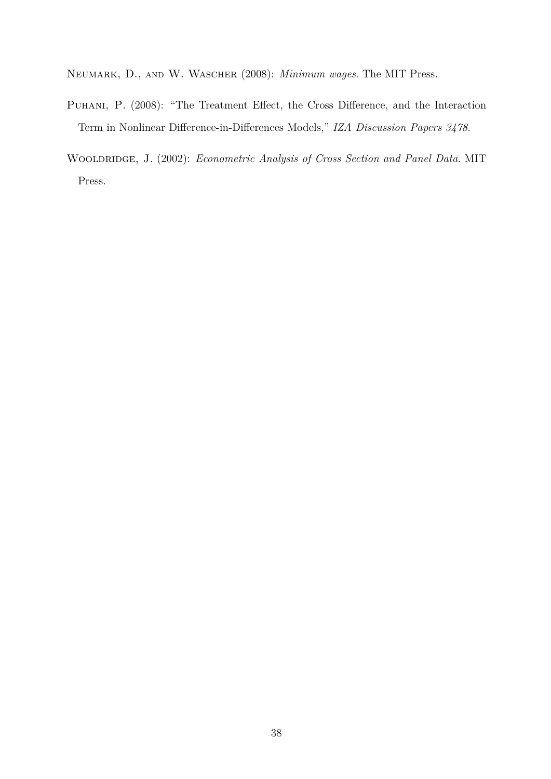Neumark, D., and W. Wascher (2008): *Minimum wages*. The MIT Press.

- Puhani, P. (2008): "The Treatment Effect, the Cross Difference, and the Interaction Term in Nonlinear Difference-in-Differences Models," *IZA Discussion Papers 3478*.
- Wooldridge, J. (2002): *Econometric Analysis of Cross Section and Panel Data*. MIT Press.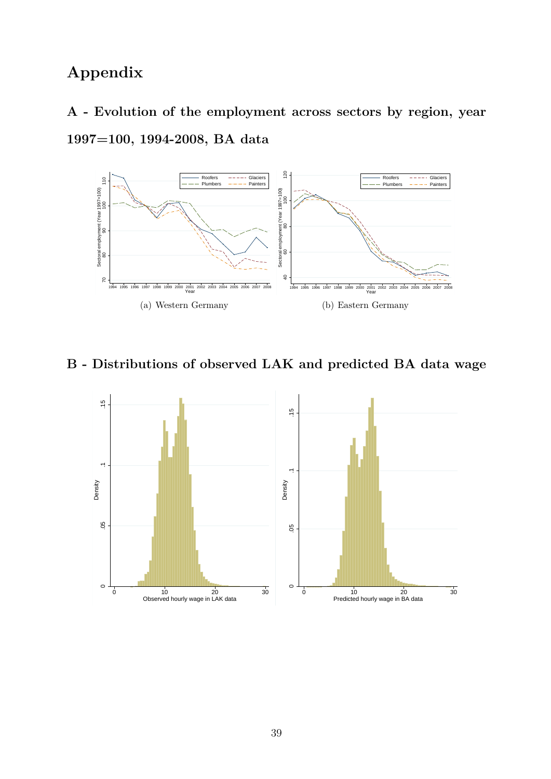## **Appendix**

**A - Evolution of the employment across sectors by region, year 1997=100, 1994-2008, BA data**



**B - Distributions of observed LAK and predicted BA data wage**

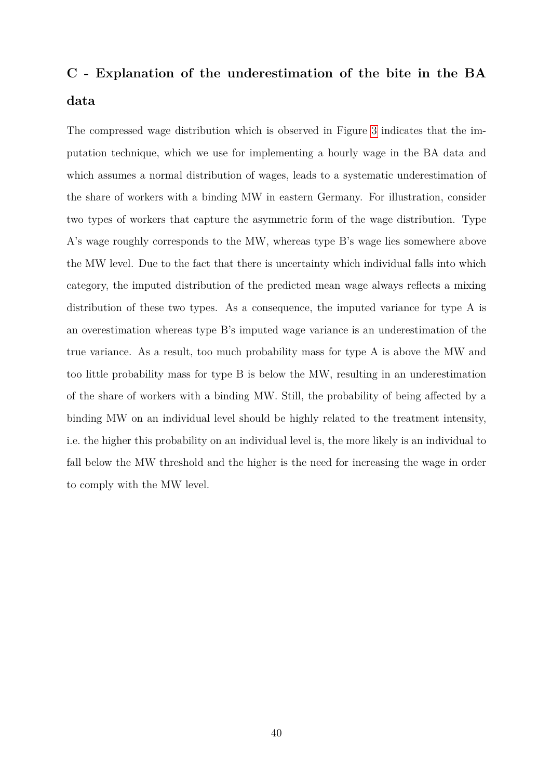## **C - Explanation of the underestimation of the bite in the BA data**

The compressed wage distribution which is observed in Figure [3](#page-15-0) indicates that the imputation technique, which we use for implementing a hourly wage in the BA data and which assumes a normal distribution of wages, leads to a systematic underestimation of the share of workers with a binding MW in eastern Germany. For illustration, consider two types of workers that capture the asymmetric form of the wage distribution. Type A's wage roughly corresponds to the MW, whereas type B's wage lies somewhere above the MW level. Due to the fact that there is uncertainty which individual falls into which category, the imputed distribution of the predicted mean wage always reflects a mixing distribution of these two types. As a consequence, the imputed variance for type A is an overestimation whereas type B's imputed wage variance is an underestimation of the true variance. As a result, too much probability mass for type A is above the MW and too little probability mass for type B is below the MW, resulting in an underestimation of the share of workers with a binding MW. Still, the probability of being affected by a binding MW on an individual level should be highly related to the treatment intensity, i.e. the higher this probability on an individual level is, the more likely is an individual to fall below the MW threshold and the higher is the need for increasing the wage in order to comply with the MW level.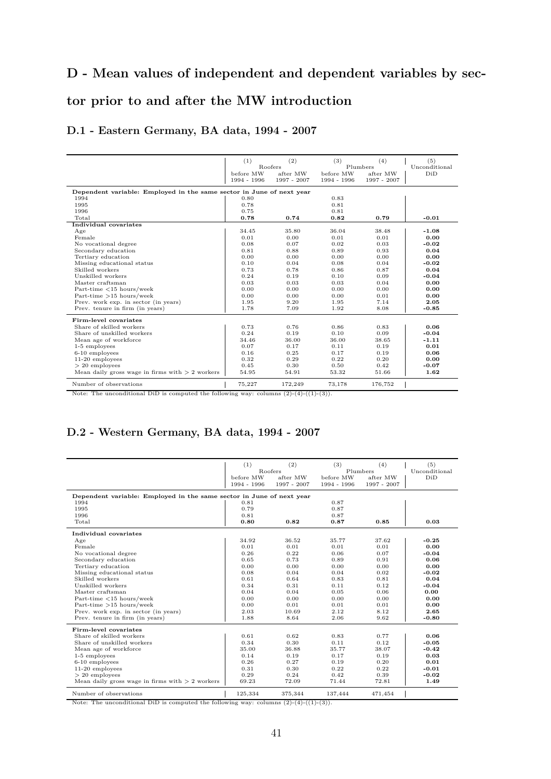## **D - Mean values of independent and dependent variables by sec-**

## **tor prior to and after the MW introduction**

#### **D.1 - Eastern Germany, BA data, 1994 - 2007**

|                                                                      | (1)                        | (2)                        | (3)         | (4)                  | (5)                  |
|----------------------------------------------------------------------|----------------------------|----------------------------|-------------|----------------------|----------------------|
|                                                                      | before $\operatorname{MW}$ | <b>Roofers</b><br>after MW | before MW   | Plumbers<br>after MW | Unconditional<br>DiD |
|                                                                      | 1994 - 1996                | 1997 - 2007                | 1994 - 1996 | 1997 - 2007          |                      |
|                                                                      |                            |                            |             |                      |                      |
| Dependent variable: Employed in the same sector in June of next year |                            |                            |             |                      |                      |
| 1994                                                                 | 0.80                       |                            | 0.83        |                      |                      |
| 1995                                                                 | 0.78                       |                            | 0.81        |                      |                      |
| 1996                                                                 | 0.75                       |                            | 0.81        |                      |                      |
| Total                                                                | 0.78                       | 0.74                       | 0.82        | 0.79                 | $-0.01$              |
| Individual covariates                                                |                            |                            |             |                      |                      |
| Age                                                                  | 34.45                      | 35.80                      | 36.04       | 38.48                | $-1.08$              |
| Female                                                               | 0.01                       | 0.00                       | 0.01        | 0.01                 | 0.00                 |
| No vocational degree                                                 | 0.08                       | 0.07                       | 0.02        | 0.03                 | $-0.02$              |
| Secondary education                                                  | 0.81                       | 0.88                       | 0.89        | 0.93                 | 0.04                 |
| Tertiary education                                                   | 0.00                       | 0.00                       | 0.00        | 0.00                 | 0.00                 |
| Missing educational status                                           | 0.10                       | 0.04                       | 0.08        | 0.04                 | $-0.02$              |
| Skilled workers                                                      | 0.73                       | 0.78                       | 0.86        | 0.87                 | 0.04                 |
| Unskilled workers                                                    | 0.24                       | 0.19                       | 0.10        | 0.09                 | $-0.04$              |
| Master craftsman                                                     | 0.03                       | 0.03                       | 0.03        | 0.04                 | 0.00                 |
| Part-time $\langle 15 \text{ hours}/\text{week}$                     | 0.00                       | 0.00                       | 0.00        | 0.00                 | 0.00                 |
| Part-time $>15$ hours/week                                           | 0.00                       | 0.00                       | 0.00        | 0.01                 | 0.00                 |
| Prev. work exp. in sector (in years)                                 | 1.95                       | 9.20                       | 1.95        | 7.14                 | 2.05                 |
| Prev. tenure in firm (in years)                                      | 1.78                       | 7.09                       | 1.92        | 8.08                 | $-0.85$              |
| Firm-level covariates                                                |                            |                            |             |                      |                      |
| Share of skilled workers                                             | 0.73                       | 0.76                       | 0.86        | 0.83                 | 0.06                 |
| Share of unskilled workers                                           | 0.24                       | 0.19                       | 0.10        | 0.09                 | $-0.04$              |
| Mean age of workforce                                                | 34.46                      | 36.00                      | 36.00       | 38.65                | $-1.11$              |
| 1-5 employees                                                        | 0.07                       | 0.17                       | 0.11        | 0.19                 | 0.01                 |
| $6-10$ employees                                                     | 0.16                       | 0.25                       | 0.17        | 0.19                 | 0.06                 |
| $11-20$ employees                                                    | 0.32                       | 0.29                       | 0.22        | 0.20                 | 0.00                 |
| $> 20$ employees                                                     | 0.45                       | 0.30                       | 0.50        | 0.42                 | $-0.07$              |
| Mean daily gross wage in firms with $> 2$ workers                    | 54.95                      | 54.91                      | 53.32       | 51.66                | 1.62                 |
| Number of observations                                               | 75,227                     | 172,249                    | 73,178      | 176,752              |                      |

Note: The unconditional DiD is computed the following way: columns  $(2)-(4)-(1)-(3)$ .

#### **D.2 - Western Germany, BA data, 1994 - 2007**

|                                                   | (1)                                                                  | (2)         | (3)         | (4)         | (5)           |  |  |  |  |
|---------------------------------------------------|----------------------------------------------------------------------|-------------|-------------|-------------|---------------|--|--|--|--|
|                                                   |                                                                      | Roofers     | Plumbers    |             | Unconditional |  |  |  |  |
|                                                   | before MW                                                            | after MW    | before MW   | after MW    | DiD           |  |  |  |  |
|                                                   | 1994 - 1996                                                          | 1997 - 2007 | 1994 - 1996 | 1997 - 2007 |               |  |  |  |  |
|                                                   | Dependent variable: Employed in the same sector in June of next year |             |             |             |               |  |  |  |  |
| 1994                                              | 0.81                                                                 |             | 0.87        |             |               |  |  |  |  |
| 1995                                              | 0.79                                                                 |             | 0.87        |             |               |  |  |  |  |
| 1996                                              | 0.81                                                                 |             | 0.87        |             |               |  |  |  |  |
| Total                                             | 0.80                                                                 | 0.82        | 0.87        | 0.85        | 0.03          |  |  |  |  |
| Individual covariates                             |                                                                      |             |             |             |               |  |  |  |  |
| Age                                               | 34.92                                                                | 36.52       | 35.77       | 37.62       | $-0.25$       |  |  |  |  |
| Female                                            | 0.01                                                                 | 0.01        | 0.01        | 0.01        | 0.00          |  |  |  |  |
| No vocational degree                              | 0.26                                                                 | 0.22        | 0.06        | 0.07        | $-0.04$       |  |  |  |  |
| Secondary education                               | 0.65                                                                 | 0.73        | 0.89        | 0.91        | 0.06          |  |  |  |  |
| Tertiary education                                | 0.00                                                                 | 0.00        | 0.00        | 0.00        | 0.00          |  |  |  |  |
| Missing educational status                        | 0.08                                                                 | 0.04        | 0.04        | 0.02        | $-0.02$       |  |  |  |  |
| Skilled workers                                   | 0.61                                                                 | 0.64        | 0.83        | 0.81        | 0.04          |  |  |  |  |
| Unskilled workers                                 | 0.34                                                                 | 0.31        | 0.11        | 0.12        | $-0.04$       |  |  |  |  |
| Master craftsman                                  | 0.04                                                                 | 0.04        | 0.05        | 0.06        | 0.00          |  |  |  |  |
| Part-time $\langle 15 \text{ hours}/\text{week}$  | 0.00                                                                 | 0.00        | 0.00        | 0.00        | 0.00          |  |  |  |  |
| Part-time $>15$ hours/week                        | 0.00                                                                 | 0.01        | 0.01        | 0.01        | 0.00          |  |  |  |  |
| Prev. work exp. in sector (in years)              | 2.03                                                                 | 10.69       | 2.12        | 8.12        | 2.65          |  |  |  |  |
| Prev. tenure in firm (in years)                   | 1.88                                                                 | 8.64        | 2.06        | 9.62        | $-0.80$       |  |  |  |  |
| Firm-level covariates                             |                                                                      |             |             |             |               |  |  |  |  |
| Share of skilled workers                          | 0.61                                                                 | 0.62        | 0.83        | 0.77        | 0.06          |  |  |  |  |
| Share of unskilled workers                        | 0.34                                                                 | 0.30        | 0.11        | 0.12        | $-0.05$       |  |  |  |  |
| Mean age of workforce                             | 35.00                                                                | 36.88       | 35.77       | 38.07       | $-0.42$       |  |  |  |  |
| 1-5 employees                                     | 0.14                                                                 | 0.19        | 0.17        | 0.19        | 0.03          |  |  |  |  |
| $6-10$ employees                                  | 0.26                                                                 | 0.27        | 0.19        | 0.20        | 0.01          |  |  |  |  |
| $11-20$ employees                                 | 0.31                                                                 | 0.30        | 0.22        | 0.22        | $-0.01$       |  |  |  |  |
| $> 20$ employees                                  | 0.29                                                                 | 0.24        | 0.42        | 0.39        | $-0.02$       |  |  |  |  |
| Mean daily gross wage in firms with $> 2$ workers | 69.23                                                                | 72.09       | 71.44       | 72.81       | 1.49          |  |  |  |  |
| Number of observations                            | 125,334                                                              | 375,344     | 137,444     | 471,454     |               |  |  |  |  |

Note: The unconditional DiD is computed the following way: columns  $(2)-(4)-(1)-(3)$ .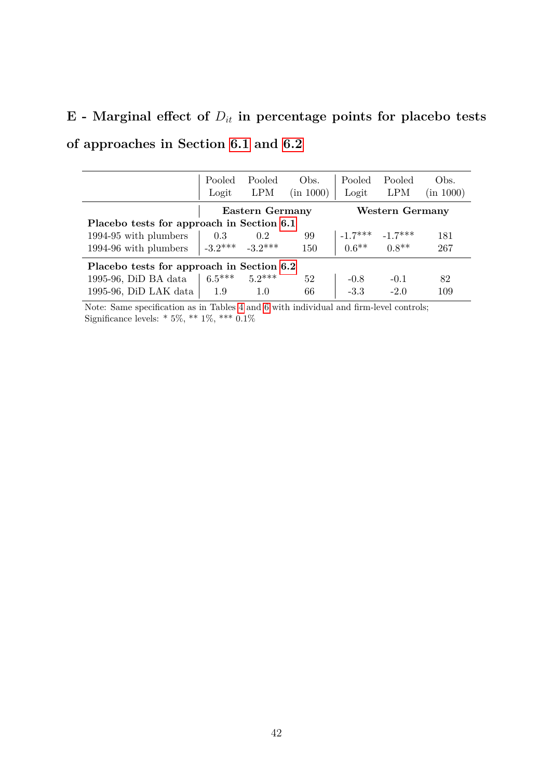# $E$  - Marginal effect of  $D_{it}$  in percentage points for placebo tests **of approaches in Section [6.1](#page-20-2) and [6.2](#page-25-1)**

|                                           | Pooled<br>Logit                           | Pooled<br>LPM       | Obs.<br>(in 1000) | Pooled<br>Logit                                            | Pooled<br><b>LPM</b> | Obs.<br>(in 1000) |  |  |
|-------------------------------------------|-------------------------------------------|---------------------|-------------------|------------------------------------------------------------|----------------------|-------------------|--|--|
| Eastern Germany<br>Western Germany        |                                           |                     |                   |                                                            |                      |                   |  |  |
|                                           | Placebo tests for approach in Section 6.1 |                     |                   |                                                            |                      |                   |  |  |
| 1994-95 with plumbers                     | 0.3                                       | 0.2                 | 99                | $-1.7***$ $-1.7***$<br>0.6 <sup>**</sup> 0.8 <sup>**</sup> |                      | 181               |  |  |
| 1994-96 with plumbers                     |                                           | $-3.2***$ $-3.2***$ | 150               |                                                            |                      | 267               |  |  |
| Placebo tests for approach in Section 6.2 |                                           |                     |                   |                                                            |                      |                   |  |  |
| 1995-96, DiD BA data                      | $6.5***$                                  | $5.2***$            | 52                | $-0.8$                                                     | $-0.1$               | 82                |  |  |
| 1995-96, DiD LAK data                     | 1.9                                       | 1.0                 | 66                | $-3.3$                                                     | $-2.0$               | 109               |  |  |

Note: Same specification as in Tables [4](#page-23-0) and [6](#page-28-0) with individual and firm-level controls; Significance levels: \* 5%, \*\* 1%, \*\*\* 0*.*1%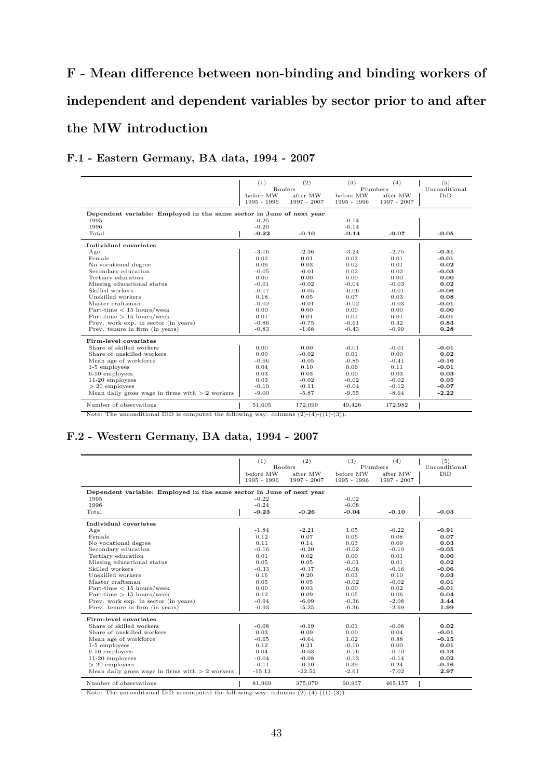# **F - Mean difference between non-binding and binding workers of independent and dependent variables by sector prior to and after the MW introduction**

#### **F.1 - Eastern Germany, BA data, 1994 - 2007**

|                                                                      | (1)                      | (2)                     | (3)                      | (4)                     | (5)     |
|----------------------------------------------------------------------|--------------------------|-------------------------|--------------------------|-------------------------|---------|
|                                                                      | <b>Roofers</b>           |                         | Plumbers                 | Unconditional           |         |
|                                                                      | before MW<br>1995 - 1996 | after MW<br>1997 - 2007 | before MW<br>1995 - 1996 | after MW<br>1997 - 2007 | DiD     |
| Dependent variable: Employed in the same sector in June of next year |                          |                         |                          |                         |         |
| 1995                                                                 | $-0.25$                  |                         | $-0.14$                  |                         |         |
| 1996                                                                 | $-0.20$                  |                         | $-0.14$                  |                         |         |
| Total                                                                | $-0.22$                  | $-0.10$                 | $-0.14$                  | $-0.07$                 | $-0.05$ |
| Individual covariates                                                |                          |                         |                          |                         |         |
| Age                                                                  | $-3.16$                  | $-2.36$                 | $-3.24$                  | $-2.75$                 | $-0.31$ |
| Female                                                               | 0.02                     | 0.01                    | 0.03                     | 0.01                    | $-0.01$ |
| No vocational degree                                                 | 0.06                     | 0.03                    | 0.02                     | 0.01                    | 0.02    |
| Secondary education                                                  | $-0.05$                  | $-0.01$                 | 0.02                     | 0.02                    | $-0.03$ |
| Tertiary education                                                   | 0.00                     | 0.00                    | 0.00                     | 0.00                    | 0.00    |
| Missing educational status                                           | $-0.01$                  | $-0.02$                 | $-0.04$                  | $-0.03$                 | 0.02    |
| Skilled workers                                                      | $-0.17$                  | $-0.05$                 | $-0.06$                  | $-0.01$                 | $-0.06$ |
| Unskilled workers                                                    | 0.18                     | 0.05                    | 0.07                     | 0.03                    | 0.08    |
| Master craftsman                                                     | $-0.02$                  | $-0.01$                 | $-0.02$                  | $-0.03$                 | $-0.01$ |
| Part-time $<$ 15 hours/week                                          | 0.00                     | 0.00                    | 0.00                     | 0.00                    | 0.00    |
| Part-time $> 15$ hours/week                                          | 0.01                     | 0.01                    | 0.01                     | 0.01                    | $-0.01$ |
| Prev. work exp. in sector (in years)                                 | $-0.86$                  | $-0.75$                 | $-0.61$                  | 0.32                    | 0.83    |
| Prev. tenure in firm (in years)                                      | $-0.83$                  | $-1.68$                 | $-0.43$                  | $-0.99$                 | 0.28    |
| Firm-level covariates                                                |                          |                         |                          |                         |         |
| Share of skilled workers                                             | 0.00                     | 0.00                    | $-0.01$                  | $-0.01$                 | $-0.01$ |
| Share of unskilled workers                                           | 0.00                     | $-0.02$                 | 0.01                     | 0.00                    | 0.02    |
| Mean age of workforce                                                | $-0.66$                  | $-0.05$                 | $-0.85$                  | $-0.41$                 | $-0.16$ |
| 1-5 employees                                                        | 0.04                     | 0.10                    | 0.06                     | 0.11                    | $-0.01$ |
| $6-10$ employees                                                     | 0.03                     | 0.03                    | 0.00                     | 0.03                    | 0.03    |
| 11-20 employees                                                      | 0.03                     | $-0.02$                 | $-0.02$                  | $-0.02$                 | 0.05    |
| $> 20$ employees                                                     | $-0.10$                  | $-0.11$                 | $-0.04$                  | $-0.12$                 | $-0.07$ |
| Mean daily gross wage in firms with $> 2$ workers                    | $-9.00$                  | $-5.87$                 | $-9.55$                  | $-8.64$                 | $-2.22$ |
| Number of observations                                               | 51.605                   | 172,090                 | 49.426                   | 172,982                 |         |

Note: The unconditional DiD is computed the following way: columns  $(2)-(4)-(1)-(3)$ .

#### **F.2 - Western Germany, BA data, 1994 - 2007**

|                                                                      | (1)         | (2)            | (3)         | (4)         | (5)           |
|----------------------------------------------------------------------|-------------|----------------|-------------|-------------|---------------|
|                                                                      |             | <b>Roofers</b> |             | Plumbers    | Unconditional |
|                                                                      | before MW   | after MW       | before MW   | after MW    | DiD           |
|                                                                      | 1995 - 1996 | 1997 - 2007    | 1995 - 1996 | 1997 - 2007 |               |
| Dependent variable: Employed in the same sector in June of next year |             |                |             |             |               |
| 1995                                                                 | $-0.22$     |                | $-0.02$     |             |               |
| 1996                                                                 | $-0.24$     |                | $-0.08$     |             |               |
| Total                                                                | $-0.23$     | $-0.26$        | $-0.04$     | $-0.10$     | $-0.03$       |
|                                                                      |             |                |             |             |               |
| Individual covariates                                                |             |                |             |             |               |
| Age                                                                  | $-1.84$     | $-2.21$        | 1.05        | $-0.22$     | $-0.91$       |
| Female                                                               | 0.12        | 0.07           | 0.05        | 0.08        | 0.07          |
| No vocational degree                                                 | 0.11        | 0.14           | 0.03        | 0.09        | 0.03          |
| Secondary education                                                  | $-0.16$     | $-0.20$        | $-0.02$     | $-0.10$     | $-0.05$       |
| Tertiary education                                                   | 0.01        | 0.02           | 0.00        | 0.01        | 0.00          |
| Missing educational status                                           | 0.05        | 0.05           | $-0.01$     | 0.01        | 0.02          |
| Skilled workers                                                      | $-0.33$     | $-0.37$        | $-0.06$     | $-0.16$     | $-0.06$       |
| Unskilled workers                                                    | 0.16        | 0.20           | 0.03        | 0.10        | 0.03          |
| Master craftsman                                                     | 0.05        | 0.05           | $-0.02$     | $-0.02$     | 0.01          |
| Part-time $<$ 15 hours/week                                          | 0.00        | 0.03           | 0.00        | 0.02        | $-0.01$       |
| Part-time $> 15$ hours/week                                          | 0.12        | 0.09           | 0.05        | 0.06        | 0.04          |
| Prev. work exp. in sector (in years)                                 | $-0.94$     | $-6.09$        | $-0.36$     | $-2.08$     | 3.44          |
| Prev. tenure in firm (in years)                                      | $-0.93$     | $-5.25$        | $-0.36$     | $-2.69$     | 1.99          |
| Firm-level covariates                                                |             |                |             |             |               |
| Share of skilled workers                                             | $-0.08$     | $-0.19$        | 0.01        | $-0.08$     | 0.02          |
| Share of unskilled workers                                           | 0.03        | 0.09           | 0.00        | 0.04        | $-0.01$       |
| Mean age of workforce                                                | $-0.65$     | $-0.64$        | 1.02        | 0.88        | $-0.15$       |
| 1-5 employees                                                        | 0.12        | 0.21           | $-0.10$     | 0.00        | 0.01          |
| $6-10$ employees                                                     | 0.04        | $-0.03$        | $-0.16$     | $-0.10$     | 0.13          |
| $11-20$ employees                                                    | $-0.04$     | $-0.08$        | $-0.13$     | $-0.14$     | 0.02          |
| $> 20$ employees                                                     | $-0.11$     | $-0.10$        | 0.39        | 0.24        | $-0.16$       |
| Mean daily gross wage in firms with $> 2$ workers                    | $-15.13$    | $-22.52$       | $-2.61$     | $-7.02$     | 2.97          |
| Number of observations                                               | 81,969      | 375,079        | 90,937      | 465,157     |               |

Note: The unconditional DiD is computed the following way: columns  $(2)-(4)-(1)-(3)$ .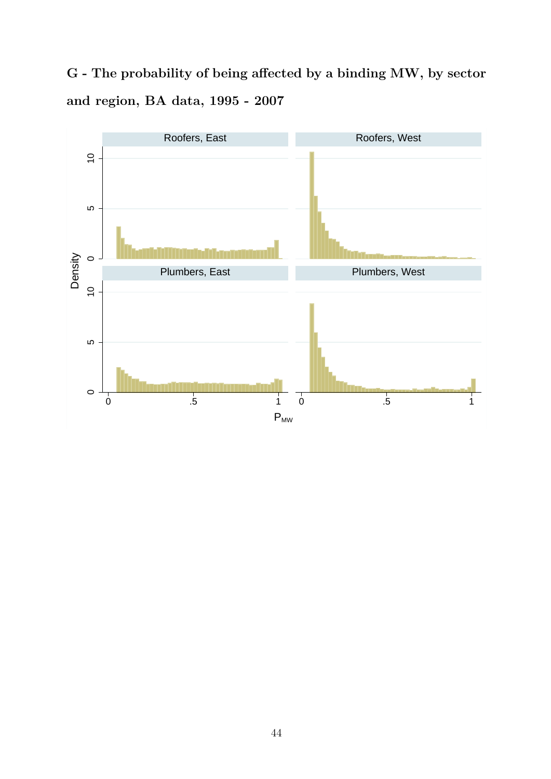**G - The probability of being affected by a binding MW, by sector and region, BA data, 1995 - 2007**